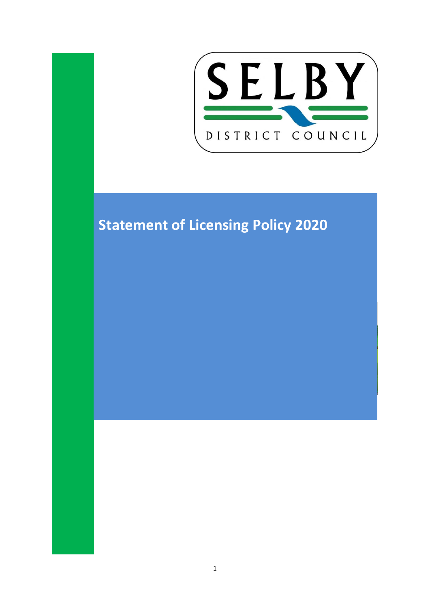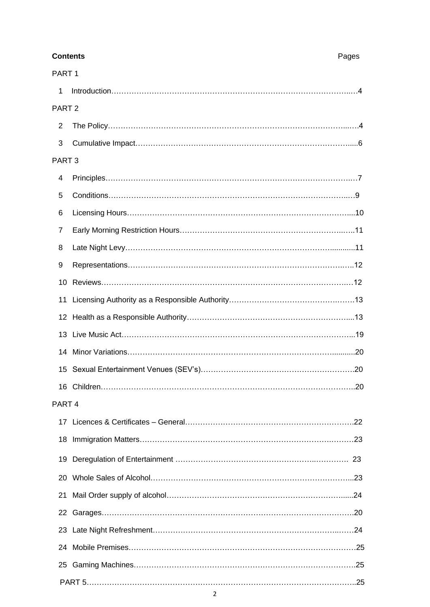| <b>Contents</b>   |                                                | Pages |
|-------------------|------------------------------------------------|-------|
| PART <sub>1</sub> |                                                |       |
| 1                 |                                                |       |
| PART <sub>2</sub> |                                                |       |
| 2                 |                                                |       |
| 3                 |                                                |       |
| PART <sub>3</sub> |                                                |       |
| 4                 |                                                |       |
| 5                 |                                                |       |
| 6                 |                                                |       |
| 7                 |                                                |       |
| 8                 |                                                |       |
| 9                 |                                                |       |
|                   |                                                |       |
|                   |                                                |       |
|                   |                                                |       |
|                   |                                                |       |
|                   |                                                |       |
|                   | 15 Sexual Entertainment Venues (SEV's)<br>. 20 |       |
|                   |                                                |       |
| PART <sub>4</sub> |                                                |       |
|                   |                                                |       |
|                   |                                                |       |
|                   |                                                |       |
|                   |                                                |       |
| 21                |                                                |       |
|                   |                                                |       |
|                   |                                                |       |
|                   |                                                |       |
|                   |                                                |       |
|                   |                                                |       |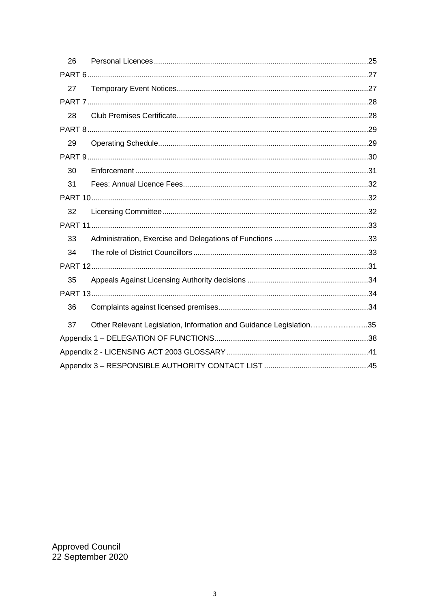| 26 |                                                                    |  |
|----|--------------------------------------------------------------------|--|
|    |                                                                    |  |
| 27 |                                                                    |  |
|    |                                                                    |  |
| 28 |                                                                    |  |
|    |                                                                    |  |
| 29 |                                                                    |  |
|    |                                                                    |  |
| 30 |                                                                    |  |
| 31 |                                                                    |  |
|    |                                                                    |  |
| 32 |                                                                    |  |
|    |                                                                    |  |
| 33 |                                                                    |  |
| 34 |                                                                    |  |
|    |                                                                    |  |
| 35 |                                                                    |  |
|    |                                                                    |  |
| 36 |                                                                    |  |
| 37 | Other Relevant Legislation, Information and Guidance Legislation35 |  |
|    |                                                                    |  |
|    |                                                                    |  |
|    |                                                                    |  |

Approved Council<br>22 September 2020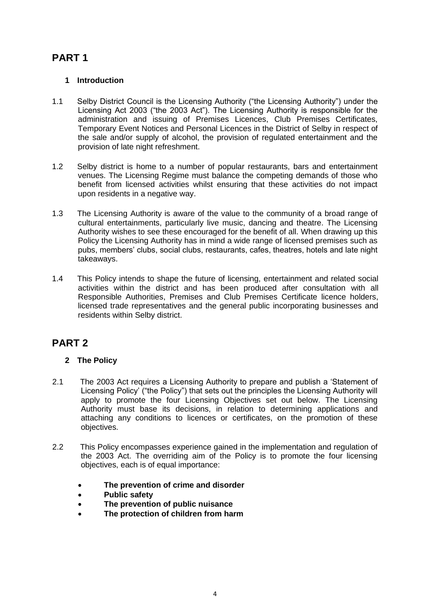# **PART 1**

### **1 Introduction**

- 1.1 Selby District Council is the Licensing Authority ("the Licensing Authority") under the Licensing Act 2003 ("the 2003 Act"). The Licensing Authority is responsible for the administration and issuing of Premises Licences, Club Premises Certificates, Temporary Event Notices and Personal Licences in the District of Selby in respect of the sale and/or supply of alcohol, the provision of regulated entertainment and the provision of late night refreshment.
- 1.2 Selby district is home to a number of popular restaurants, bars and entertainment venues. The Licensing Regime must balance the competing demands of those who benefit from licensed activities whilst ensuring that these activities do not impact upon residents in a negative way.
- 1.3 The Licensing Authority is aware of the value to the community of a broad range of cultural entertainments, particularly live music, dancing and theatre. The Licensing Authority wishes to see these encouraged for the benefit of all. When drawing up this Policy the Licensing Authority has in mind a wide range of licensed premises such as pubs, members' clubs, social clubs, restaurants, cafes, theatres, hotels and late night takeaways.
- 1.4 This Policy intends to shape the future of licensing, entertainment and related social activities within the district and has been produced after consultation with all Responsible Authorities, Premises and Club Premises Certificate licence holders, licensed trade representatives and the general public incorporating businesses and residents within Selby district.

## **PART 2**

### **2 The Policy**

- 2.1 The 2003 Act requires a Licensing Authority to prepare and publish a 'Statement of Licensing Policy' ("the Policy") that sets out the principles the Licensing Authority will apply to promote the four Licensing Objectives set out below. The Licensing Authority must base its decisions, in relation to determining applications and attaching any conditions to licences or certificates, on the promotion of these objectives.
- 2.2 This Policy encompasses experience gained in the implementation and regulation of the 2003 Act. The overriding aim of the Policy is to promote the four licensing objectives, each is of equal importance:
	- **The prevention of crime and disorder**
	- **Public safety**
	- **The prevention of public nuisance**
	- **The protection of children from harm**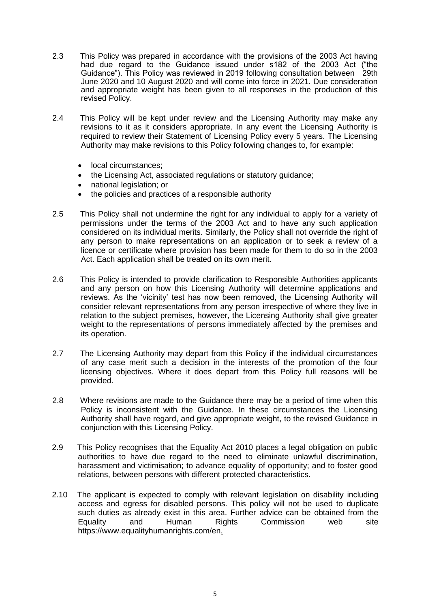- 2.3 This Policy was prepared in accordance with the provisions of the 2003 Act having had due regard to the Guidance issued under s182 of the 2003 Act ("the Guidance"). This Policy was reviewed in 2019 following consultation between 29th June 2020 and 10 August 2020 and will come into force in 2021. Due consideration and appropriate weight has been given to all responses in the production of this revised Policy.
- 2.4 This Policy will be kept under review and the Licensing Authority may make any revisions to it as it considers appropriate. In any event the Licensing Authority is required to review their Statement of Licensing Policy every 5 years. The Licensing Authority may make revisions to this Policy following changes to, for example:
	- local circumstances:
	- the Licensing Act, associated regulations or statutory guidance;
	- national legislation; or
	- the policies and practices of a responsible authority
- 2.5 This Policy shall not undermine the right for any individual to apply for a variety of permissions under the terms of the 2003 Act and to have any such application considered on its individual merits. Similarly, the Policy shall not override the right of any person to make representations on an application or to seek a review of a licence or certificate where provision has been made for them to do so in the 2003 Act. Each application shall be treated on its own merit.
- 2.6 This Policy is intended to provide clarification to Responsible Authorities applicants and any person on how this Licensing Authority will determine applications and reviews. As the 'vicinity' test has now been removed, the Licensing Authority will consider relevant representations from any person irrespective of where they live in relation to the subject premises, however, the Licensing Authority shall give greater weight to the representations of persons immediately affected by the premises and its operation.
- 2.7 The Licensing Authority may depart from this Policy if the individual circumstances of any case merit such a decision in the interests of the promotion of the four licensing objectives. Where it does depart from this Policy full reasons will be provided.
- 2.8 Where revisions are made to the Guidance there may be a period of time when this Policy is inconsistent with the Guidance. In these circumstances the Licensing Authority shall have regard, and give appropriate weight, to the revised Guidance in conjunction with this Licensing Policy.
- 2.9 This Policy recognises that the Equality Act 2010 places a legal obligation on public authorities to have due regard to the need to eliminate unlawful discrimination, harassment and victimisation; to advance equality of opportunity; and to foster good relations, between persons with different protected characteristics.
- 2.10 The applicant is expected to comply with relevant legislation on disability including access and egress for disabled persons. This policy will not be used to duplicate such duties as already exist in this area. Further advice can be obtained from the Equality and Human Rights Commission web site https://www.equalityhumanrights.com/en.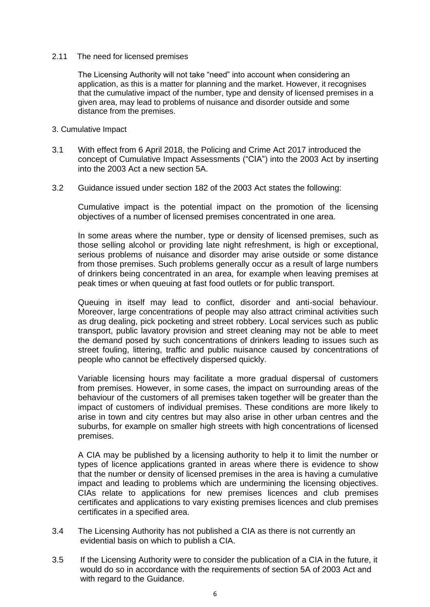### 2.11 The need for licensed premises

The Licensing Authority will not take "need" into account when considering an application, as this is a matter for planning and the market. However, it recognises that the cumulative impact of the number, type and density of licensed premises in a given area, may lead to problems of nuisance and disorder outside and some distance from the premises.

### 3. Cumulative Impact

- 3.1 With effect from 6 April 2018, the Policing and Crime Act 2017 introduced the concept of Cumulative Impact Assessments ("CIA") into the 2003 Act by inserting into the 2003 Act a new section 5A.
- 3.2 Guidance issued under section 182 of the 2003 Act states the following:

Cumulative impact is the potential impact on the promotion of the licensing objectives of a number of licensed premises concentrated in one area.

In some areas where the number, type or density of licensed premises, such as those selling alcohol or providing late night refreshment, is high or exceptional, serious problems of nuisance and disorder may arise outside or some distance from those premises. Such problems generally occur as a result of large numbers of drinkers being concentrated in an area, for example when leaving premises at peak times or when queuing at fast food outlets or for public transport.

Queuing in itself may lead to conflict, disorder and anti-social behaviour. Moreover, large concentrations of people may also attract criminal activities such as drug dealing, pick pocketing and street robbery. Local services such as public transport, public lavatory provision and street cleaning may not be able to meet the demand posed by such concentrations of drinkers leading to issues such as street fouling, littering, traffic and public nuisance caused by concentrations of people who cannot be effectively dispersed quickly.

Variable licensing hours may facilitate a more gradual dispersal of customers from premises. However, in some cases, the impact on surrounding areas of the behaviour of the customers of all premises taken together will be greater than the impact of customers of individual premises. These conditions are more likely to arise in town and city centres but may also arise in other urban centres and the suburbs, for example on smaller high streets with high concentrations of licensed premises.

A CIA may be published by a licensing authority to help it to limit the number or types of licence applications granted in areas where there is evidence to show that the number or density of licensed premises in the area is having a cumulative impact and leading to problems which are undermining the licensing objectives. CIAs relate to applications for new premises licences and club premises certificates and applications to vary existing premises licences and club premises certificates in a specified area.

- 3.4 The Licensing Authority has not published a CIA as there is not currently an evidential basis on which to publish a CIA.
- 3.5 If the Licensing Authority were to consider the publication of a CIA in the future, it would do so in accordance with the requirements of section 5A of 2003 Act and with regard to the Guidance.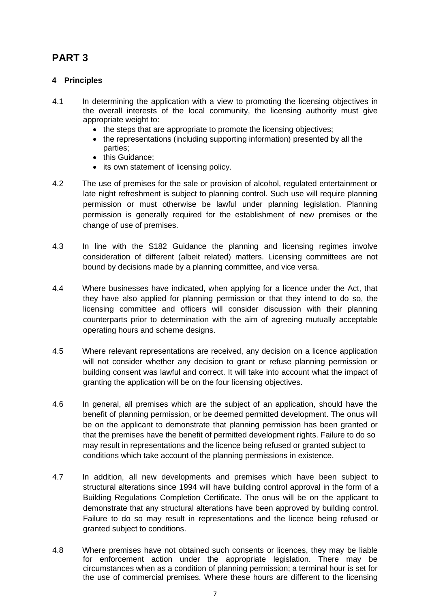# **PART 3**

### **4 Principles**

- 4.1 In determining the application with a view to promoting the licensing objectives in the overall interests of the local community, the licensing authority must give appropriate weight to:
	- the steps that are appropriate to promote the licensing objectives:
	- the representations (including supporting information) presented by all the parties;
	- this Guidance:
	- its own statement of licensing policy.
- 4.2 The use of premises for the sale or provision of alcohol, regulated entertainment or late night refreshment is subject to planning control. Such use will require planning permission or must otherwise be lawful under planning legislation. Planning permission is generally required for the establishment of new premises or the change of use of premises.
- 4.3 In line with the S182 Guidance the planning and licensing regimes involve consideration of different (albeit related) matters. Licensing committees are not bound by decisions made by a planning committee, and vice versa.
- 4.4 Where businesses have indicated, when applying for a licence under the Act, that they have also applied for planning permission or that they intend to do so, the licensing committee and officers will consider discussion with their planning counterparts prior to determination with the aim of agreeing mutually acceptable operating hours and scheme designs.
- 4.5 Where relevant representations are received, any decision on a licence application will not consider whether any decision to grant or refuse planning permission or building consent was lawful and correct. It will take into account what the impact of granting the application will be on the four licensing objectives.
- 4.6 In general, all premises which are the subject of an application, should have the benefit of planning permission, or be deemed permitted development. The onus will be on the applicant to demonstrate that planning permission has been granted or that the premises have the benefit of permitted development rights. Failure to do so may result in representations and the licence being refused or granted subject to conditions which take account of the planning permissions in existence.
- 4.7 In addition, all new developments and premises which have been subject to structural alterations since 1994 will have building control approval in the form of a Building Regulations Completion Certificate. The onus will be on the applicant to demonstrate that any structural alterations have been approved by building control. Failure to do so may result in representations and the licence being refused or granted subject to conditions.
- 4.8 Where premises have not obtained such consents or licences, they may be liable for enforcement action under the appropriate legislation. There may be circumstances when as a condition of planning permission; a terminal hour is set for the use of commercial premises. Where these hours are different to the licensing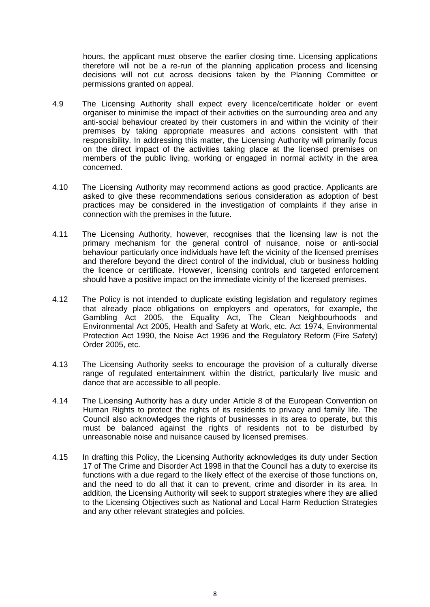hours, the applicant must observe the earlier closing time. Licensing applications therefore will not be a re-run of the planning application process and licensing decisions will not cut across decisions taken by the Planning Committee or permissions granted on appeal.

- 4.9 The Licensing Authority shall expect every licence/certificate holder or event organiser to minimise the impact of their activities on the surrounding area and any anti-social behaviour created by their customers in and within the vicinity of their premises by taking appropriate measures and actions consistent with that responsibility. In addressing this matter, the Licensing Authority will primarily focus on the direct impact of the activities taking place at the licensed premises on members of the public living, working or engaged in normal activity in the area concerned.
- 4.10 The Licensing Authority may recommend actions as good practice. Applicants are asked to give these recommendations serious consideration as adoption of best practices may be considered in the investigation of complaints if they arise in connection with the premises in the future.
- 4.11 The Licensing Authority, however, recognises that the licensing law is not the primary mechanism for the general control of nuisance, noise or anti-social behaviour particularly once individuals have left the vicinity of the licensed premises and therefore beyond the direct control of the individual, club or business holding the licence or certificate. However, licensing controls and targeted enforcement should have a positive impact on the immediate vicinity of the licensed premises.
- 4.12 The Policy is not intended to duplicate existing legislation and regulatory regimes that already place obligations on employers and operators, for example, the Gambling Act 2005, the Equality Act, The Clean Neighbourhoods and Environmental Act 2005, Health and Safety at Work, etc. Act 1974, Environmental Protection Act 1990, the Noise Act 1996 and the Regulatory Reform (Fire Safety) Order 2005, etc.
- 4.13 The Licensing Authority seeks to encourage the provision of a culturally diverse range of regulated entertainment within the district, particularly live music and dance that are accessible to all people.
- 4.14 The Licensing Authority has a duty under Article 8 of the European Convention on Human Rights to protect the rights of its residents to privacy and family life. The Council also acknowledges the rights of businesses in its area to operate, but this must be balanced against the rights of residents not to be disturbed by unreasonable noise and nuisance caused by licensed premises.
- 4.15 In drafting this Policy, the Licensing Authority acknowledges its duty under Section 17 of The Crime and Disorder Act 1998 in that the Council has a duty to exercise its functions with a due regard to the likely effect of the exercise of those functions on, and the need to do all that it can to prevent, crime and disorder in its area. In addition, the Licensing Authority will seek to support strategies where they are allied to the Licensing Objectives such as National and Local Harm Reduction Strategies and any other relevant strategies and policies.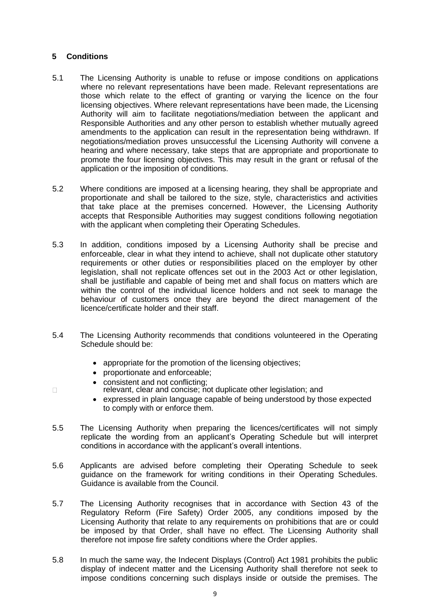### **5 Conditions**

 $\Box$ 

- 5.1 The Licensing Authority is unable to refuse or impose conditions on applications where no relevant representations have been made. Relevant representations are those which relate to the effect of granting or varying the licence on the four licensing objectives. Where relevant representations have been made, the Licensing Authority will aim to facilitate negotiations/mediation between the applicant and Responsible Authorities and any other person to establish whether mutually agreed amendments to the application can result in the representation being withdrawn. If negotiations/mediation proves unsuccessful the Licensing Authority will convene a hearing and where necessary, take steps that are appropriate and proportionate to promote the four licensing objectives. This may result in the grant or refusal of the application or the imposition of conditions.
- 5.2 Where conditions are imposed at a licensing hearing, they shall be appropriate and proportionate and shall be tailored to the size, style, characteristics and activities that take place at the premises concerned. However, the Licensing Authority accepts that Responsible Authorities may suggest conditions following negotiation with the applicant when completing their Operating Schedules.
- 5.3 In addition, conditions imposed by a Licensing Authority shall be precise and enforceable, clear in what they intend to achieve, shall not duplicate other statutory requirements or other duties or responsibilities placed on the employer by other legislation, shall not replicate offences set out in the 2003 Act or other legislation, shall be justifiable and capable of being met and shall focus on matters which are within the control of the individual licence holders and not seek to manage the behaviour of customers once they are beyond the direct management of the licence/certificate holder and their staff.
- 5.4 The Licensing Authority recommends that conditions volunteered in the Operating Schedule should be:
	- appropriate for the promotion of the licensing objectives;
	- proportionate and enforceable;
	- consistent and not conflicting;
	- relevant, clear and concise; not duplicate other legislation; and
	- expressed in plain language capable of being understood by those expected to comply with or enforce them.
- 5.5 The Licensing Authority when preparing the licences/certificates will not simply replicate the wording from an applicant's Operating Schedule but will interpret conditions in accordance with the applicant's overall intentions.
- 5.6 Applicants are advised before completing their Operating Schedule to seek guidance on the framework for writing conditions in their Operating Schedules. Guidance is available from the Council.
- 5.7 The Licensing Authority recognises that in accordance with Section 43 of the Regulatory Reform (Fire Safety) Order 2005, any conditions imposed by the Licensing Authority that relate to any requirements on prohibitions that are or could be imposed by that Order, shall have no effect. The Licensing Authority shall therefore not impose fire safety conditions where the Order applies.
- 5.8 In much the same way, the Indecent Displays (Control) Act 1981 prohibits the public display of indecent matter and the Licensing Authority shall therefore not seek to impose conditions concerning such displays inside or outside the premises. The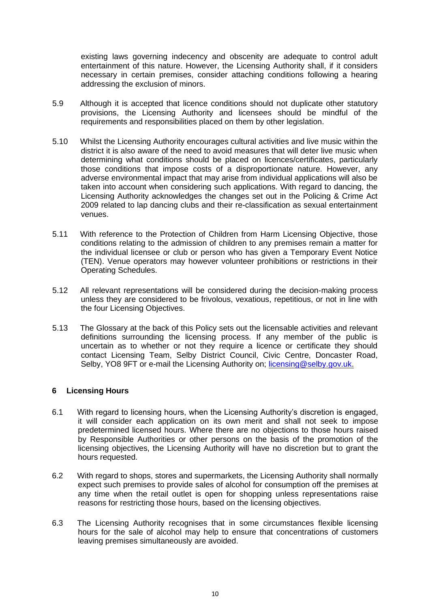existing laws governing indecency and obscenity are adequate to control adult entertainment of this nature. However, the Licensing Authority shall, if it considers necessary in certain premises, consider attaching conditions following a hearing addressing the exclusion of minors.

- 5.9 Although it is accepted that licence conditions should not duplicate other statutory provisions, the Licensing Authority and licensees should be mindful of the requirements and responsibilities placed on them by other legislation.
- 5.10 Whilst the Licensing Authority encourages cultural activities and live music within the district it is also aware of the need to avoid measures that will deter live music when determining what conditions should be placed on licences/certificates, particularly those conditions that impose costs of a disproportionate nature. However, any adverse environmental impact that may arise from individual applications will also be taken into account when considering such applications. With regard to dancing, the Licensing Authority acknowledges the changes set out in the Policing & Crime Act 2009 related to lap dancing clubs and their re-classification as sexual entertainment venues.
- 5.11 With reference to the Protection of Children from Harm Licensing Objective, those conditions relating to the admission of children to any premises remain a matter for the individual licensee or club or person who has given a Temporary Event Notice (TEN). Venue operators may however volunteer prohibitions or restrictions in their Operating Schedules.
- 5.12 All relevant representations will be considered during the decision-making process unless they are considered to be frivolous, vexatious, repetitious, or not in line with the four Licensing Objectives.
- 5.13 The Glossary at the back of this Policy sets out the licensable activities and relevant definitions surrounding the licensing process. If any member of the public is uncertain as to whether or not they require a licence or certificate they should contact Licensing Team, Selby District Council, Civic Centre, Doncaster Road, Selby, YO8 9FT or e-mail the Licensing Authority on; [licensing@selby.gov.uk.](mailto:licensing@ryedale.gov.uk)

### **6 Licensing Hours**

- 6.1 With regard to licensing hours, when the Licensing Authority's discretion is engaged, it will consider each application on its own merit and shall not seek to impose predetermined licensed hours. Where there are no objections to those hours raised by Responsible Authorities or other persons on the basis of the promotion of the licensing objectives, the Licensing Authority will have no discretion but to grant the hours requested.
- 6.2 With regard to shops, stores and supermarkets, the Licensing Authority shall normally expect such premises to provide sales of alcohol for consumption off the premises at any time when the retail outlet is open for shopping unless representations raise reasons for restricting those hours, based on the licensing objectives.
- 6.3 The Licensing Authority recognises that in some circumstances flexible licensing hours for the sale of alcohol may help to ensure that concentrations of customers leaving premises simultaneously are avoided.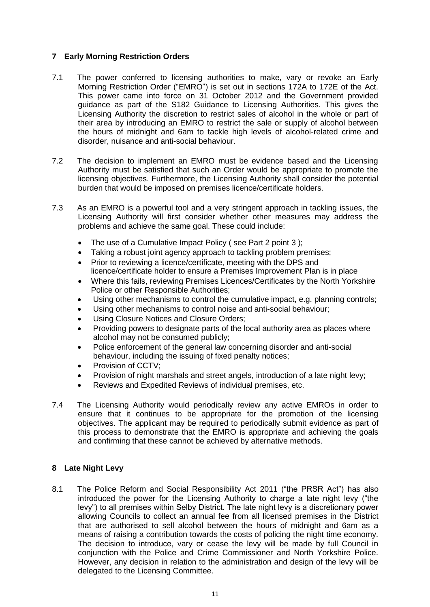### **7 Early Morning Restriction Orders**

- 7.1 The power conferred to licensing authorities to make, vary or revoke an Early Morning Restriction Order ("EMRO") is set out in sections 172A to 172E of the Act. This power came into force on 31 October 2012 and the Government provided guidance as part of the S182 Guidance to Licensing Authorities. This gives the Licensing Authority the discretion to restrict sales of alcohol in the whole or part of their area by introducing an EMRO to restrict the sale or supply of alcohol between the hours of midnight and 6am to tackle high levels of alcohol-related crime and disorder, nuisance and anti-social behaviour.
- 7.2 The decision to implement an EMRO must be evidence based and the Licensing Authority must be satisfied that such an Order would be appropriate to promote the licensing objectives. Furthermore, the Licensing Authority shall consider the potential burden that would be imposed on premises licence/certificate holders.
- 7.3 As an EMRO is a powerful tool and a very stringent approach in tackling issues, the Licensing Authority will first consider whether other measures may address the problems and achieve the same goal. These could include:
	- The use of a Cumulative Impact Policy (see Part 2 point 3);
	- Taking a robust joint agency approach to tackling problem premises;
	- Prior to reviewing a licence/certificate, meeting with the DPS and licence/certificate holder to ensure a Premises Improvement Plan is in place
	- Where this fails, reviewing Premises Licences/Certificates by the North Yorkshire Police or other Responsible Authorities;
	- Using other mechanisms to control the cumulative impact, e.g. planning controls;
	- Using other mechanisms to control noise and anti-social behaviour;
	- Using Closure Notices and Closure Orders;
	- Providing powers to designate parts of the local authority area as places where alcohol may not be consumed publicly;
	- Police enforcement of the general law concerning disorder and anti-social behaviour, including the issuing of fixed penalty notices;
	- Provision of CCTV;
	- Provision of night marshals and street angels, introduction of a late night levy;
	- Reviews and Expedited Reviews of individual premises, etc.
- 7.4 The Licensing Authority would periodically review any active EMROs in order to ensure that it continues to be appropriate for the promotion of the licensing objectives. The applicant may be required to periodically submit evidence as part of this process to demonstrate that the EMRO is appropriate and achieving the goals and confirming that these cannot be achieved by alternative methods.

### **8 Late Night Levy**

8.1 The Police Reform and Social Responsibility Act 2011 ("the PRSR Act") has also introduced the power for the Licensing Authority to charge a late night levy ("the levy") to all premises within Selby District. The late night levy is a discretionary power allowing Councils to collect an annual fee from all licensed premises in the District that are authorised to sell alcohol between the hours of midnight and 6am as a means of raising a contribution towards the costs of policing the night time economy. The decision to introduce, vary or cease the levy will be made by full Council in conjunction with the Police and Crime Commissioner and North Yorkshire Police. However, any decision in relation to the administration and design of the levy will be delegated to the Licensing Committee.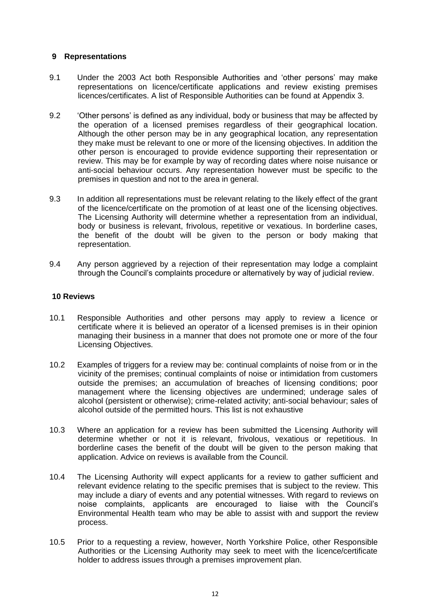### **9 Representations**

- 9.1 Under the 2003 Act both Responsible Authorities and 'other persons' may make representations on licence/certificate applications and review existing premises licences/certificates. A list of Responsible Authorities can be found at Appendix 3.
- 9.2 'Other persons' is defined as any individual, body or business that may be affected by the operation of a licensed premises regardless of their geographical location. Although the other person may be in any geographical location, any representation they make must be relevant to one or more of the licensing objectives. In addition the other person is encouraged to provide evidence supporting their representation or review. This may be for example by way of recording dates where noise nuisance or anti-social behaviour occurs. Any representation however must be specific to the premises in question and not to the area in general.
- 9.3 In addition all representations must be relevant relating to the likely effect of the grant of the licence/certificate on the promotion of at least one of the licensing objectives. The Licensing Authority will determine whether a representation from an individual, body or business is relevant, frivolous, repetitive or vexatious. In borderline cases, the benefit of the doubt will be given to the person or body making that representation.
- 9.4 Any person aggrieved by a rejection of their representation may lodge a complaint through the Council's complaints procedure or alternatively by way of judicial review.

### **10 Reviews**

- 10.1 Responsible Authorities and other persons may apply to review a licence or certificate where it is believed an operator of a licensed premises is in their opinion managing their business in a manner that does not promote one or more of the four Licensing Objectives.
- 10.2 Examples of triggers for a review may be: continual complaints of noise from or in the vicinity of the premises; continual complaints of noise or intimidation from customers outside the premises; an accumulation of breaches of licensing conditions; poor management where the licensing objectives are undermined; underage sales of alcohol (persistent or otherwise); crime-related activity; anti-social behaviour; sales of alcohol outside of the permitted hours. This list is not exhaustive
- 10.3 Where an application for a review has been submitted the Licensing Authority will determine whether or not it is relevant, frivolous, vexatious or repetitious. In borderline cases the benefit of the doubt will be given to the person making that application. Advice on reviews is available from the Council.
- 10.4 The Licensing Authority will expect applicants for a review to gather sufficient and relevant evidence relating to the specific premises that is subject to the review. This may include a diary of events and any potential witnesses. With regard to reviews on noise complaints, applicants are encouraged to liaise with the Council's Environmental Health team who may be able to assist with and support the review process.
- 10.5 Prior to a requesting a review, however, North Yorkshire Police, other Responsible Authorities or the Licensing Authority may seek to meet with the licence/certificate holder to address issues through a premises improvement plan.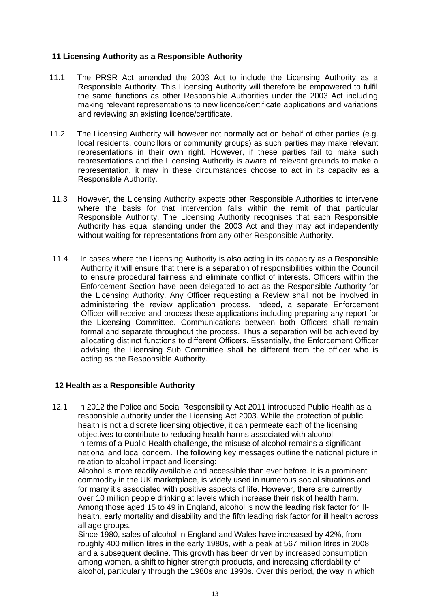### **11 Licensing Authority as a Responsible Authority**

- 11.1 The PRSR Act amended the 2003 Act to include the Licensing Authority as a Responsible Authority. This Licensing Authority will therefore be empowered to fulfil the same functions as other Responsible Authorities under the 2003 Act including making relevant representations to new licence/certificate applications and variations and reviewing an existing licence/certificate.
- 11.2 The Licensing Authority will however not normally act on behalf of other parties (e.g. local residents, councillors or community groups) as such parties may make relevant representations in their own right. However, if these parties fail to make such representations and the Licensing Authority is aware of relevant grounds to make a representation, it may in these circumstances choose to act in its capacity as a Responsible Authority.
- 11.3 However, the Licensing Authority expects other Responsible Authorities to intervene where the basis for that intervention falls within the remit of that particular Responsible Authority. The Licensing Authority recognises that each Responsible Authority has equal standing under the 2003 Act and they may act independently without waiting for representations from any other Responsible Authority.
- 11.4 In cases where the Licensing Authority is also acting in its capacity as a Responsible Authority it will ensure that there is a separation of responsibilities within the Council to ensure procedural fairness and eliminate conflict of interests. Officers within the Enforcement Section have been delegated to act as the Responsible Authority for the Licensing Authority. Any Officer requesting a Review shall not be involved in administering the review application process. Indeed, a separate Enforcement Officer will receive and process these applications including preparing any report for the Licensing Committee. Communications between both Officers shall remain formal and separate throughout the process. Thus a separation will be achieved by allocating distinct functions to different Officers. Essentially, the Enforcement Officer advising the Licensing Sub Committee shall be different from the officer who is acting as the Responsible Authority.

### **12 Health as a Responsible Authority**

12.1 In 2012 the Police and Social Responsibility Act 2011 introduced Public Health as a responsible authority under the Licensing Act 2003. While the protection of public health is not a discrete licensing objective, it can permeate each of the licensing objectives to contribute to reducing health harms associated with alcohol. In terms of a Public Health challenge, the misuse of alcohol remains a significant national and local concern. The following key messages outline the national picture in relation to alcohol impact and licensing:

Alcohol is more readily available and accessible than ever before. It is a prominent commodity in the UK marketplace, is widely used in numerous social situations and for many it's associated with positive aspects of life. However, there are currently over 10 million people drinking at levels which increase their risk of health harm. Among those aged 15 to 49 in England, alcohol is now the leading risk factor for illhealth, early mortality and disability and the fifth leading risk factor for ill health across all age groups.

Since 1980, sales of alcohol in England and Wales have increased by 42%, from roughly 400 million litres in the early 1980s, with a peak at 567 million litres in 2008, and a subsequent decline. This growth has been driven by increased consumption among women, a shift to higher strength products, and increasing affordability of alcohol, particularly through the 1980s and 1990s. Over this period, the way in which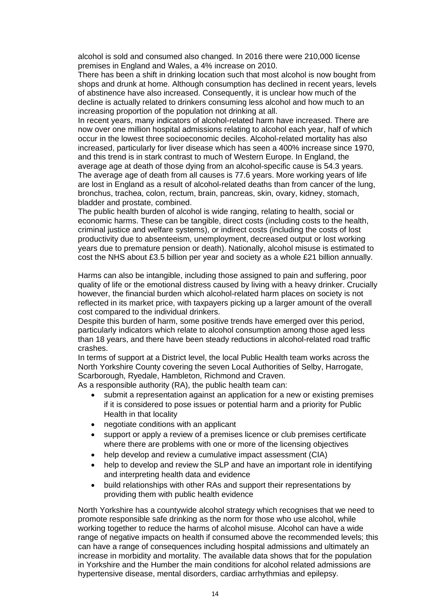alcohol is sold and consumed also changed. In 2016 there were 210,000 license premises in England and Wales, a 4% increase on 2010.

There has been a shift in drinking location such that most alcohol is now bought from shops and drunk at home. Although consumption has declined in recent years, levels of abstinence have also increased. Consequently, it is unclear how much of the decline is actually related to drinkers consuming less alcohol and how much to an increasing proportion of the population not drinking at all.

In recent years, many indicators of alcohol-related harm have increased. There are now over one million hospital admissions relating to alcohol each year, half of which occur in the lowest three socioeconomic deciles. Alcohol-related mortality has also increased, particularly for liver disease which has seen a 400% increase since 1970, and this trend is in stark contrast to much of Western Europe. In England, the average age at death of those dying from an alcohol-specific cause is 54.3 years. The average age of death from all causes is 77.6 years. More working years of life are lost in England as a result of alcohol-related deaths than from cancer of the lung, bronchus, trachea, colon, rectum, brain, pancreas, skin, ovary, kidney, stomach, bladder and prostate, combined.

The public health burden of alcohol is wide ranging, relating to health, social or economic harms. These can be tangible, direct costs (including costs to the health, criminal justice and welfare systems), or indirect costs (including the costs of lost productivity due to absenteeism, unemployment, decreased output or lost working years due to premature pension or death). Nationally, alcohol misuse is estimated to cost the NHS about £3.5 billion per year and society as a whole £21 billion annually.

Harms can also be intangible, including those assigned to pain and suffering, poor quality of life or the emotional distress caused by living with a heavy drinker. Crucially however, the financial burden which alcohol-related harm places on society is not reflected in its market price, with taxpayers picking up a larger amount of the overall cost compared to the individual drinkers.

Despite this burden of harm, some positive trends have emerged over this period, particularly indicators which relate to alcohol consumption among those aged less than 18 years, and there have been steady reductions in alcohol-related road traffic crashes.

In terms of support at a District level, the local Public Health team works across the North Yorkshire County covering the seven Local Authorities of Selby, Harrogate, Scarborough, Ryedale, Hambleton, Richmond and Craven.

As a responsible authority (RA), the public health team can:

- submit a representation against an application for a new or existing premises if it is considered to pose issues or potential harm and a priority for Public Health in that locality
- negotiate conditions with an applicant
- support or apply a review of a premises licence or club premises certificate where there are problems with one or more of the licensing objectives
- help develop and review a cumulative impact assessment (CIA)
- help to develop and review the SLP and have an important role in identifying and interpreting health data and evidence
- build relationships with other RAs and support their representations by providing them with public health evidence

North Yorkshire has a countywide alcohol strategy which recognises that we need to promote responsible safe drinking as the norm for those who use alcohol, while working together to reduce the harms of alcohol misuse. Alcohol can have a wide range of negative impacts on health if consumed above the recommended levels; this can have a range of consequences including hospital admissions and ultimately an increase in morbidity and mortality. The available data shows that for the population in Yorkshire and the Humber the main conditions for alcohol related admissions are hypertensive disease, mental disorders, cardiac arrhythmias and epilepsy.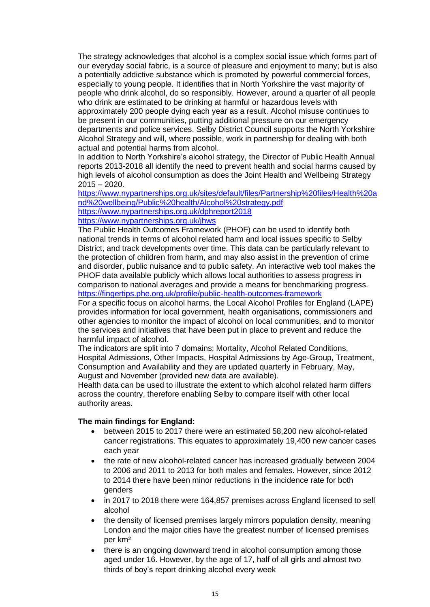The strategy acknowledges that alcohol is a complex social issue which forms part of our everyday social fabric, is a source of pleasure and enjoyment to many; but is also a potentially addictive substance which is promoted by powerful commercial forces, especially to young people. It identifies that in North Yorkshire the vast majority of people who drink alcohol, do so responsibly. However, around a quarter of all people who drink are estimated to be drinking at harmful or hazardous levels with approximately 200 people dying each year as a result. Alcohol misuse continues to be present in our communities, putting additional pressure on our emergency departments and police services. Selby District Council supports the North Yorkshire Alcohol Strategy and will, where possible, work in partnership for dealing with both actual and potential harms from alcohol.

In addition to North Yorkshire's alcohol strategy, the Director of Public Health Annual reports 2013-2018 all identify the need to prevent health and social harms caused by high levels of alcohol consumption as does the Joint Health and Wellbeing Strategy 2015 – 2020.

[https://www.nypartnerships.org.uk/sites/default/files/Partnership%20files/Health%20a](https://www.nypartnerships.org.uk/sites/default/files/Partnership%20files/Health%20and%20wellbeing/Public%20health/Alcohol%20strategy.pdf) [nd%20wellbeing/Public%20health/Alcohol%20strategy.pdf](https://www.nypartnerships.org.uk/sites/default/files/Partnership%20files/Health%20and%20wellbeing/Public%20health/Alcohol%20strategy.pdf)

<https://www.nypartnerships.org.uk/dphreport2018> <https://www.nypartnerships.org.uk/jhws>

The Public Health Outcomes Framework (PHOF) can be used to identify both national trends in terms of alcohol related harm and local issues specific to Selby District, and track developments over time. This data can be particularly relevant to the protection of children from harm, and may also assist in the prevention of crime and disorder, public nuisance and to public safety. An interactive web tool makes the PHOF data available publicly which allows local authorities to assess progress in comparison to national averages and provide a means for benchmarking progress. <https://fingertips.phe.org.uk/profile/public-health-outcomes-framework>

For a specific focus on alcohol harms, the Local Alcohol Profiles for England (LAPE) provides information for local government, health organisations, commissioners and other agencies to monitor the impact of alcohol on local communities, and to monitor the services and initiatives that have been put in place to prevent and reduce the harmful impact of alcohol.

The indicators are split into 7 domains; Mortality, Alcohol Related Conditions, Hospital Admissions, Other Impacts, Hospital Admissions by Age-Group, Treatment, Consumption and Availability and they are updated quarterly in February, May, August and November (provided new data are available).

Health data can be used to illustrate the extent to which alcohol related harm differs across the country, therefore enabling Selby to compare itself with other local authority areas.

### **The main findings for England:**

- between 2015 to 2017 there were an estimated 58,200 new alcohol-related cancer registrations. This equates to approximately 19,400 new cancer cases each year
- the rate of new alcohol-related cancer has increased gradually between 2004 to 2006 and 2011 to 2013 for both males and females. However, since 2012 to 2014 there have been minor reductions in the incidence rate for both genders
- in 2017 to 2018 there were 164,857 premises across England licensed to sell alcohol
- the density of licensed premises largely mirrors population density, meaning London and the major cities have the greatest number of licensed premises per km²
- there is an ongoing downward trend in alcohol consumption among those aged under 16. However, by the age of 17, half of all girls and almost two thirds of boy's report drinking alcohol every week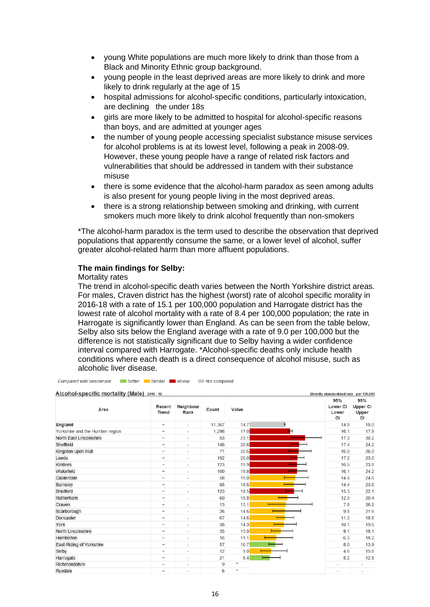- young White populations are much more likely to drink than those from a Black and Minority Ethnic group background.
- young people in the least deprived areas are more likely to drink and more likely to drink regularly at the age of 15
- hospital admissions for alcohol-specific conditions, particularly intoxication, are declining the under 18s
- girls are more likely to be admitted to hospital for alcohol-specific reasons than boys, and are admitted at younger ages
- the number of young people accessing specialist substance misuse services for alcohol problems is at its lowest level, following a peak in 2008-09. However, these young people have a range of related risk factors and vulnerabilities that should be addressed in tandem with their substance misuse
- there is some evidence that the alcohol-harm paradox as seen among adults is also present for young people living in the most deprived areas.
- there is a strong relationship between smoking and drinking, with current smokers much more likely to drink alcohol frequently than non-smokers

\*The alcohol-harm paradox is the term used to describe the observation that deprived populations that apparently consume the same, or a lower level of alcohol, suffer greater alcohol-related harm than more affluent populations.

### **The main findings for Selby:**

#### Mortality rates

The trend in alcohol-specific death varies between the North Yorkshire district areas. For males, Craven district has the highest (worst) rate of alcohol specific morality in 2016-18 with a rate of 15.1 per 100,000 population and Harrogate district has the lowest rate of alcohol mortality with a rate of 8.4 per 100,000 population; the rate in Harrogate is significantly lower than England. As can be seen from the table below, Selby also sits below the England average with a rate of 9.0 per 100,000 but the difference is not statistically significant due to Selby having a wider confidence interval compared with Harrogate. \*Alcohol-specific deaths only include health conditions where each death is a direct consequence of alcohol misuse, such as alcoholic liver disease.

| Alcohol-specific mortality (Male) 2016 - 18<br>Directly standardised rate - per 100,000 |                              |                          |        |         |                |                                |                                |
|-----------------------------------------------------------------------------------------|------------------------------|--------------------------|--------|---------|----------------|--------------------------------|--------------------------------|
| Area                                                                                    | Recent<br><b>Trend</b>       | Neighbour<br>Rank        | Count  | Value   |                | 95%<br>Lower CI<br>Lower<br>CI | 95%<br>Upper CI<br>Upper<br>CI |
| England                                                                                 | $\qquad \qquad \blacksquare$ | $\blacksquare$           | 11,367 | 14.7    | H              | 14.5                           | 15.0                           |
| Yorkshire and the Humber region                                                         | $\qquad \qquad \blacksquare$ | $\blacksquare$           | 1.296  | 17.0    | н              | 16.1                           | 17.9                           |
| North East Lincolnshire                                                                 | $\qquad \qquad$              | ×.                       | 53     | 23.1    |                | 17.3                           | 30.2                           |
| Sheffield                                                                               |                              | $\overline{\phantom{a}}$ | 148    | 20.6    |                | 17.4                           | 24.2                           |
| Kingston upon Hull                                                                      | $\qquad \qquad \blacksquare$ | $\overline{\phantom{a}}$ | 71     | 20.6    |                | 16.0                           | 26.0                           |
| Leeds                                                                                   | $\qquad \qquad$              | ×.                       | 192    | 20.0    | <b>College</b> | 17.2                           | 23.0                           |
| <b>Kirklees</b>                                                                         | $\qquad \qquad$              | $\blacksquare$           | 123    | 19.9    | <b>Service</b> | 16.5                           | 23.8                           |
| Wakefield                                                                               | $\qquad \qquad \blacksquare$ | ٠                        | 100    | 19.8    |                | 16.1                           | 24.2                           |
| Calderdale                                                                              |                              | $\overline{\phantom{a}}$ | 58     | 19.0    |                | 14.4                           | 24.6                           |
| Barnsley                                                                                |                              | $\sim$                   | 68     | 18.6    |                | 14.4                           | 23.6                           |
| Bradford                                                                                | $\qquad \qquad \blacksquare$ | ٠                        | 123    | 18.5    |                | 15.3                           | 22.1                           |
| Rotherham                                                                               | $\qquad \qquad$              | $\blacksquare$           | 60     | 15.8    |                | 12.0                           | 20.4                           |
| Craven                                                                                  | $\qquad \qquad$              | ٠                        | 13     | 15.1    |                | 7.8                            | 26.2                           |
| Scarborough                                                                             | $\overline{\phantom{0}}$     | $\overline{\phantom{a}}$ | 26     | 14.6    |                | 9.5                            | 21.6                           |
| Doncaster                                                                               | $\qquad \qquad$              | $\sim$                   | 67     | 14.6    |                | 11.3                           | 18.6                           |
| York                                                                                    | $\qquad \qquad$              | $\overline{\phantom{a}}$ | 38     | 14.3    |                | 10.1                           | 19.6                           |
| North Lincolnshire                                                                      |                              | $\blacksquare$           | 35     | 13.0    |                | 9.1                            | 18.1                           |
| Hambleton                                                                               | $\qquad \qquad$              | ×.                       | 16     | 11.1    |                | 6.3                            | 18.2                           |
| East Riding of Yorkshire                                                                | $\qquad \qquad$              | $\,$                     | 57     | 10.7    |                | 8.0                            | 13.9                           |
| Selby                                                                                   | $\qquad \qquad \blacksquare$ | $\overline{a}$           | 12     | 9.0     |                | 4.6                            | 15.8                           |
| Harrogate                                                                               | $\qquad \qquad$              | $\sim$                   | 21     | 8.4     |                | 5.2                            | 12.8                           |
| Richmondshire                                                                           | $\overline{\phantom{0}}$     | $\overline{\phantom{a}}$ | 9      | $\star$ |                | $\blacksquare$                 |                                |
| Rvedale                                                                                 |                              | $\sim$                   | 6      | $\star$ |                | $\sim$                         |                                |

Compared with benchmark: Better Similar Compared Norse Not compared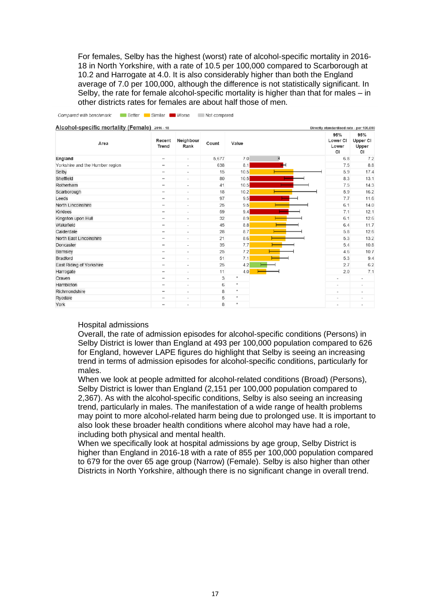For females, Selby has the highest (worst) rate of alcohol-specific mortality in 2016- 18 in North Yorkshire, with a rate of 10.5 per 100,000 compared to Scarborough at 10.2 and Harrogate at 4.0. It is also considerably higher than both the England average of 7.0 per 100,000, although the difference is not statistically significant. In Selby, the rate for female alcohol-specific mortality is higher than that for males – in other districts rates for females are about half those of men.

| Area                            | Recent<br><b>Trend</b>       | Neighbour<br>Rank        | Count | Value              | 95%<br>Lower CI<br>Lower<br>CI | 95%<br>Upper CI<br>Upper<br>CI |
|---------------------------------|------------------------------|--------------------------|-------|--------------------|--------------------------------|--------------------------------|
| England                         | $\qquad \qquad \blacksquare$ | $\overline{\phantom{a}}$ | 5,677 | 7.0                | 6.8                            | 7.2                            |
| Yorkshire and the Humber region | $\qquad \qquad \blacksquare$ | $\overline{\phantom{a}}$ | 638   | 8.1                | 7.5                            | 8.8                            |
| Selby                           | $\qquad \qquad \blacksquare$ | $\overline{\phantom{a}}$ | 15    | 10.5               | 5.9                            | 17.4                           |
| Sheffield                       | $\qquad \qquad \blacksquare$ | $\overline{\phantom{a}}$ | 80    | 10.5               | 8.3                            | 13.1                           |
| Rotherham                       | $\qquad \qquad \blacksquare$ | $\overline{\phantom{a}}$ | 41    | 10.5               | 7.5                            | 14.3                           |
| Scarborough                     | $\qquad \qquad$              | $\overline{\phantom{a}}$ | 18    | 10.2               | 5.9                            | 16.2                           |
| Leeds                           | $\overline{\phantom{0}}$     | $\overline{\phantom{a}}$ | 97    | 9.5                | 7.7                            | 11.6                           |
| North Lincolnshire              | $\qquad \qquad \blacksquare$ | $\overline{\phantom{a}}$ | 25    | 9.5                | 6.1                            | 14.0                           |
| Kirklees                        | $\qquad \qquad \blacksquare$ | $\overline{\phantom{a}}$ | 59    | 9.4                | 7.1                            | 12.1                           |
| Kingston upon Hull              | $\qquad \qquad \blacksquare$ | $\overline{\phantom{a}}$ | 32    | 8.9                | 6.1                            | 12.6                           |
| Wakefield                       | $\qquad \qquad \blacksquare$ | $\overline{\phantom{a}}$ | 45    | 8.8                | 6.4                            | 11.7                           |
| Calderdale                      |                              | $\overline{\phantom{a}}$ | 28    | 8.7                | 5.8                            | 12.6                           |
| North East Lincolnshire         | $\qquad \qquad$              | $\overline{\phantom{a}}$ | 21    | 8.6                | 5.3                            | 13.2                           |
| Doncaster                       | $\qquad \qquad =$            | $\overline{\phantom{a}}$ | 35    | 7.7                | 5.4                            | 10.8                           |
| Barnsley                        | $\qquad \qquad \blacksquare$ | $\overline{\phantom{a}}$ | 25    | 7.2                | 4.6                            | 10.7                           |
| <b>Bradford</b>                 | $\qquad \qquad \blacksquare$ | $\overline{\phantom{a}}$ | 51    | 7.1                | 5.3                            | 9.4                            |
| East Riding of Yorkshire        | $\qquad \qquad \blacksquare$ | ٠                        | 25    | 4.2                | 2.7                            | 6.2                            |
| Harrogate                       | $\qquad \qquad \blacksquare$ | $\overline{\phantom{a}}$ | 11    | 4.0                | 2.0                            | 7.1                            |
| Craven                          | $\qquad \qquad \blacksquare$ | $\overline{\phantom{a}}$ | 3     | $\boldsymbol{\pi}$ | ٠                              | ٠                              |
| Hambleton                       | $\qquad \qquad -$            | $\overline{\phantom{a}}$ | 6     | $\approx$          | ٠                              | $\qquad \qquad \blacksquare$   |
| Richmondshire                   | $\overline{\phantom{0}}$     | $\overline{\phantom{a}}$ | 8     | $\star$            | $\overline{\phantom{a}}$       | $\sim$                         |
| Ryedale                         |                              | $\overline{\phantom{a}}$ | 5     | $\approx$          | $\overline{a}$                 | $\overline{\phantom{m}}$       |
| York                            | $\qquad \qquad \blacksquare$ | $\overline{\phantom{a}}$ | 8     | $\ast$             | $\overline{\phantom{a}}$       | $\overline{\phantom{a}}$       |

Compared with benchmark: Better Similar Morse Not compared

#### Hospital admissions

Overall, the rate of admission episodes for alcohol-specific conditions (Persons) in Selby District is lower than England at 493 per 100,000 population compared to 626 for England, however LAPE figures do highlight that Selby is seeing an increasing trend in terms of admission episodes for alcohol-specific conditions, particularly for males.

When we look at people admitted for alcohol-related conditions (Broad) (Persons), Selby District is lower than England (2,151 per 100,000 population compared to 2,367). As with the alcohol-specific conditions, Selby is also seeing an increasing trend, particularly in males. The manifestation of a wide range of health problems may point to more alcohol-related harm being due to prolonged use. It is important to also look these broader health conditions where alcohol may have had a role, including both physical and mental health.

When we specifically look at hospital admissions by age group, Selby District is higher than England in 2016-18 with a rate of 855 per 100,000 population compared to 679 for the over 65 age group (Narrow) (Female). Selby is also higher than other Districts in North Yorkshire, although there is no significant change in overall trend.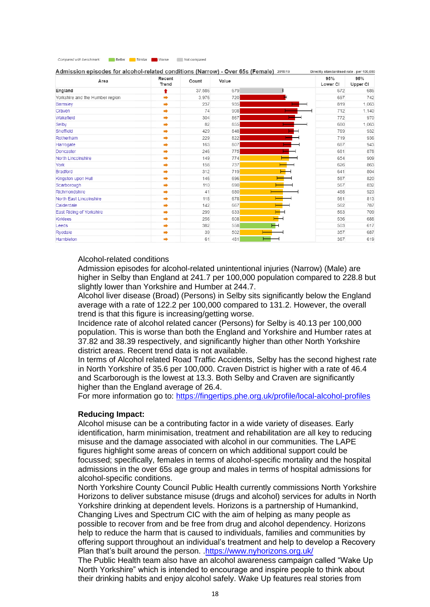| Compared with benchmark: | Better | Similar Worse | Not compared |
|--------------------------|--------|---------------|--------------|

| Area                            | Recent<br>Trend | Count  | Value     | 95%<br>Lower CI | 95%<br>Upper CI |
|---------------------------------|-----------------|--------|-----------|-----------------|-----------------|
| England                         | ŧ               | 37,586 | 679       | 672             | 686             |
| Yorkshire and the Humber region | ÷               | 3.976  | 720       | 697             | 742             |
| Barnsley                        |                 | 237    | 935       | 819             | 1,063           |
| Craven                          | $\Rightarrow$   | 74     | 908       | 712             | 1,140           |
| Wakefield                       |                 | 304    | 867       | 772             | 970             |
| Selby                           | ⇒               | 82     | 855       | 680             | 1,063           |
| Sheffield                       |                 | 429    | 848       | 769             | 932             |
| Rotherham                       | ∙               | 229    | 822       | 719             | 936             |
| Harrogate                       |                 | 163    | 807       | 687             | 943             |
| Doncaster                       | ∙               | 246    | 775       | 681             | 878             |
| North Lincolnshire              | ۰               | 149    | 774       | 654             | 909             |
| York                            | ∙               | 158    | 737       | 626             | 863             |
| Bradford                        | ÷               | 312    | 719       | 641             | 804             |
| Kingston upon Hull              |                 | 146    | 696       | 587             | 820             |
| Scarborough                     |                 | 110    | 690       | 567             | 832             |
| Richmondshire                   | ÷               | 41     | 680       | 488             | 923             |
| North East Lincolnshire         | ۰               | 118    | 678       | 561             | 813             |
| Calderdale                      | ⇒               | 142    | 667       | 562             | 787             |
| East Riding of Yorkshire        | ۰               | 299    | 633       | 563             | 709             |
| <b>Kirklees</b>                 | ∙               | 256    | 608       | 536             | 688             |
| Leeds                           | ÷               | 382    | 558<br>ਜ⊣ | 503             | 617             |
| Rvedale                         |                 | 39     | 502       | 357             | 687             |
| Hambleton                       |                 | 61     | 481       | 367             | 619             |

### alcohol-related conditions (Narrow) - Over 65s (Female) 2018/19

#### Alcohol-related conditions

Admission episodes for alcohol-related unintentional injuries (Narrow) (Male) are higher in Selby than England at 241.7 per 100,000 population compared to 228.8 but slightly lower than Yorkshire and Humber at 244.7.

Alcohol liver disease (Broad) (Persons) in Selby sits significantly below the England average with a rate of 122.2 per 100,000 compared to 131.2. However, the overall trend is that this figure is increasing/getting worse.

Incidence rate of alcohol related cancer (Persons) for Selby is 40.13 per 100,000 population. This is worse than both the England and Yorkshire and Humber rates at 37.82 and 38.39 respectively, and significantly higher than other North Yorkshire district areas. Recent trend data is not available.

In terms of Alcohol related Road Traffic Accidents, Selby has the second highest rate in North Yorkshire of 35.6 per 100,000. Craven District is higher with a rate of 46.4 and Scarborough is the lowest at 13.3. Both Selby and Craven are significantly higher than the England average of 26.4.

For more information go to:<https://fingertips.phe.org.uk/profile/local-alcohol-profiles>

#### **Reducing Impact:**

Alcohol misuse can be a contributing factor in a wide variety of diseases. Early identification, harm minimisation, treatment and rehabilitation are all key to reducing misuse and the damage associated with alcohol in our communities. The LAPE figures highlight some areas of concern on which additional support could be focussed; specifically, females in terms of alcohol-specific mortality and the hospital admissions in the over 65s age group and males in terms of hospital admissions for alcohol-specific conditions.

North Yorkshire County Council Public Health currently commissions North Yorkshire Horizons to deliver substance misuse (drugs and alcohol) services for adults in North Yorkshire drinking at dependent levels. Horizons is a partnership of Humankind, Changing Lives and Spectrum CIC with the aim of helping as many people as possible to recover from and be free from drug and alcohol dependency. Horizons help to reduce the harm that is caused to individuals, families and communities by offering support throughout an individual's treatment and help to develop a Recovery Plan that's built around the person. [.https://www.nyhorizons.org.uk/](https://www.nyhorizons.org.uk/)

The Public Health team also have an alcohol awareness campaign called "Wake Up North Yorkshire" which is intended to encourage and inspire people to think about their drinking habits and enjoy alcohol safely. Wake Up features real stories from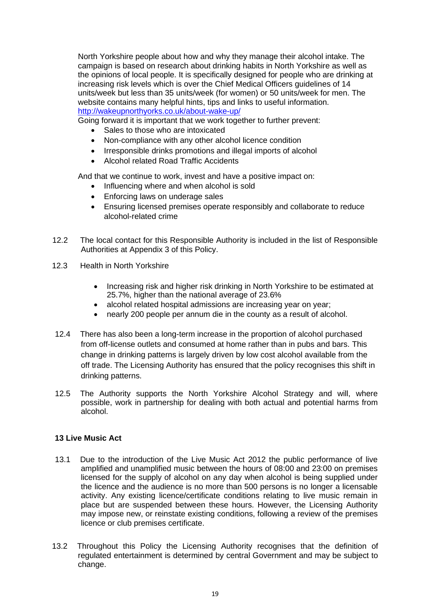North Yorkshire people about how and why they manage their alcohol intake. The campaign is based on research about drinking habits in North Yorkshire as well as the opinions of local people. It is specifically designed for people who are drinking at increasing risk levels which is over the Chief Medical Officers guidelines of 14 units/week but less than 35 units/week (for women) or 50 units/week for men. The website contains many helpful hints, tips and links to useful information. <http://wakeupnorthyorks.co.uk/about-wake-up/>

Going forward it is important that we work together to further prevent:

- Sales to those who are intoxicated
- Non-compliance with any other alcohol licence condition
- Irresponsible drinks promotions and illegal imports of alcohol
- Alcohol related Road Traffic Accidents

And that we continue to work, invest and have a positive impact on:

- Influencing where and when alcohol is sold
- Enforcing laws on underage sales
- Ensuring licensed premises operate responsibly and collaborate to reduce alcohol-related crime
- 12.2 The local contact for this Responsible Authority is included in the list of Responsible Authorities at Appendix 3 of this Policy.
- 12.3 Health in North Yorkshire
	- Increasing risk and higher risk drinking in North Yorkshire to be estimated at 25.7%, higher than the national average of 23.6%
	- alcohol related hospital admissions are increasing year on year;
	- nearly 200 people per annum die in the county as a result of alcohol.
- 12.4 There has also been a long-term increase in the proportion of alcohol purchased from off-license outlets and consumed at home rather than in pubs and bars. This change in drinking patterns is largely driven by low cost alcohol available from the off trade. The Licensing Authority has ensured that the policy recognises this shift in drinking patterns.
- 12.5 The Authority supports the North Yorkshire Alcohol Strategy and will, where possible, work in partnership for dealing with both actual and potential harms from alcohol.

### **13 Live Music Act**

- 13.1 Due to the introduction of the Live Music Act 2012 the public performance of live amplified and unamplified music between the hours of 08:00 and 23:00 on premises licensed for the supply of alcohol on any day when alcohol is being supplied under the licence and the audience is no more than 500 persons is no longer a licensable activity. Any existing licence/certificate conditions relating to live music remain in place but are suspended between these hours. However, the Licensing Authority may impose new, or reinstate existing conditions, following a review of the premises licence or club premises certificate.
- 13.2 Throughout this Policy the Licensing Authority recognises that the definition of regulated entertainment is determined by central Government and may be subject to change.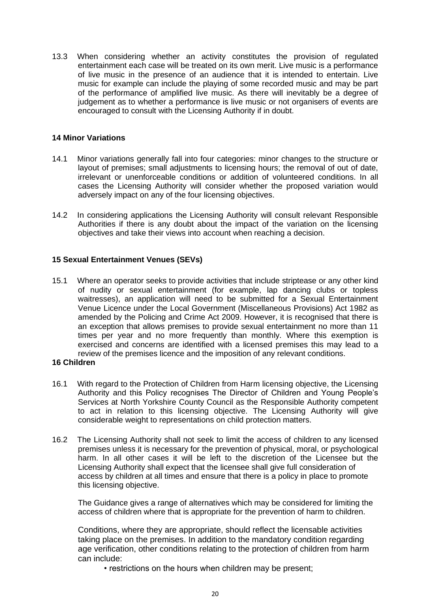13.3 When considering whether an activity constitutes the provision of regulated entertainment each case will be treated on its own merit. Live music is a performance of live music in the presence of an audience that it is intended to entertain. Live music for example can include the playing of some recorded music and may be part of the performance of amplified live music. As there will inevitably be a degree of judgement as to whether a performance is live music or not organisers of events are encouraged to consult with the Licensing Authority if in doubt.

### **14 Minor Variations**

- 14.1 Minor variations generally fall into four categories: minor changes to the structure or layout of premises; small adjustments to licensing hours; the removal of out of date, irrelevant or unenforceable conditions or addition of volunteered conditions. In all cases the Licensing Authority will consider whether the proposed variation would adversely impact on any of the four licensing objectives.
- 14.2 In considering applications the Licensing Authority will consult relevant Responsible Authorities if there is any doubt about the impact of the variation on the licensing objectives and take their views into account when reaching a decision.

### **15 Sexual Entertainment Venues (SEVs)**

15.1 Where an operator seeks to provide activities that include striptease or any other kind of nudity or sexual entertainment (for example, lap dancing clubs or topless waitresses), an application will need to be submitted for a Sexual Entertainment Venue Licence under the Local Government (Miscellaneous Provisions) Act 1982 as amended by the Policing and Crime Act 2009. However, it is recognised that there is an exception that allows premises to provide sexual entertainment no more than 11 times per year and no more frequently than monthly. Where this exemption is exercised and concerns are identified with a licensed premises this may lead to a review of the premises licence and the imposition of any relevant conditions.

#### **16 Children**

- 16.1 With regard to the Protection of Children from Harm licensing objective, the Licensing Authority and this Policy recognises The Director of Children and Young People's Services at North Yorkshire County Council as the Responsible Authority competent to act in relation to this licensing objective. The Licensing Authority will give considerable weight to representations on child protection matters.
- 16.2 The Licensing Authority shall not seek to limit the access of children to any licensed premises unless it is necessary for the prevention of physical, moral, or psychological harm. In all other cases it will be left to the discretion of the Licensee but the Licensing Authority shall expect that the licensee shall give full consideration of access by children at all times and ensure that there is a policy in place to promote this licensing objective.

The Guidance gives a range of alternatives which may be considered for limiting the access of children where that is appropriate for the prevention of harm to children.

Conditions, where they are appropriate, should reflect the licensable activities taking place on the premises. In addition to the mandatory condition regarding age verification, other conditions relating to the protection of children from harm can include:

• restrictions on the hours when children may be present;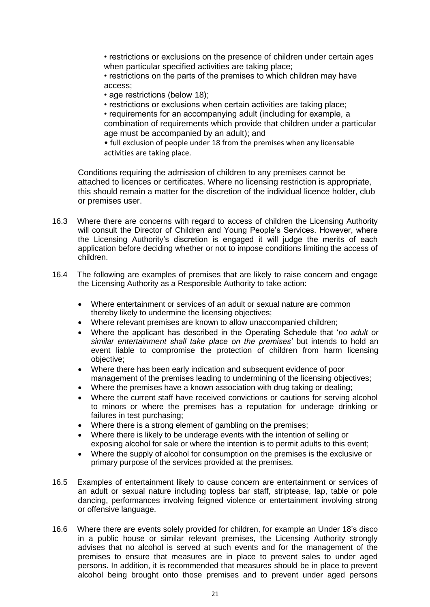• restrictions or exclusions on the presence of children under certain ages when particular specified activities are taking place;

• restrictions on the parts of the premises to which children may have access;

• age restrictions (below 18);

• restrictions or exclusions when certain activities are taking place;

• requirements for an accompanying adult (including for example, a combination of requirements which provide that children under a particular age must be accompanied by an adult); and

• full exclusion of people under 18 from the premises when any licensable activities are taking place.

Conditions requiring the admission of children to any premises cannot be attached to licences or certificates. Where no licensing restriction is appropriate, this should remain a matter for the discretion of the individual licence holder, club or premises user.

- 16.3 Where there are concerns with regard to access of children the Licensing Authority will consult the Director of Children and Young People's Services. However, where the Licensing Authority's discretion is engaged it will judge the merits of each application before deciding whether or not to impose conditions limiting the access of children.
- 16.4 The following are examples of premises that are likely to raise concern and engage the Licensing Authority as a Responsible Authority to take action:
	- Where entertainment or services of an adult or sexual nature are common thereby likely to undermine the licensing objectives;
	- Where relevant premises are known to allow unaccompanied children;
	- Where the applicant has described in the Operating Schedule that '*no adult or similar entertainment shall take place on the premises'* but intends to hold an event liable to compromise the protection of children from harm licensing objective;
	- Where there has been early indication and subsequent evidence of poor management of the premises leading to undermining of the licensing objectives;
	- Where the premises have a known association with drug taking or dealing;
	- Where the current staff have received convictions or cautions for serving alcohol to minors or where the premises has a reputation for underage drinking or failures in test purchasing;
	- Where there is a strong element of gambling on the premises:
	- Where there is likely to be underage events with the intention of selling or exposing alcohol for sale or where the intention is to permit adults to this event;
	- Where the supply of alcohol for consumption on the premises is the exclusive or primary purpose of the services provided at the premises.
- 16.5 Examples of entertainment likely to cause concern are entertainment or services of an adult or sexual nature including topless bar staff, striptease, lap, table or pole dancing, performances involving feigned violence or entertainment involving strong or offensive language.
- 16.6 Where there are events solely provided for children, for example an Under 18's disco in a public house or similar relevant premises, the Licensing Authority strongly advises that no alcohol is served at such events and for the management of the premises to ensure that measures are in place to prevent sales to under aged persons. In addition, it is recommended that measures should be in place to prevent alcohol being brought onto those premises and to prevent under aged persons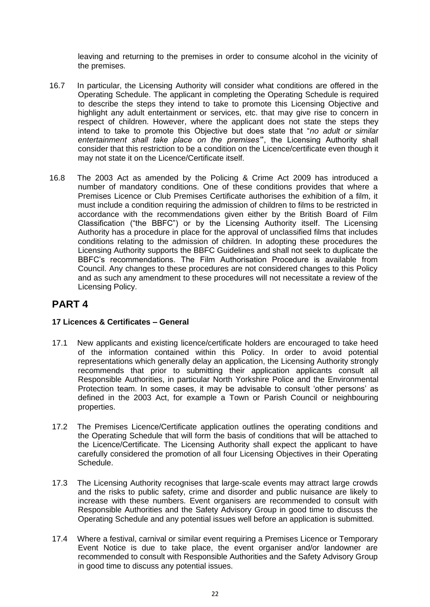leaving and returning to the premises in order to consume alcohol in the vicinity of the premises.

- 16.7 In particular, the Licensing Authority will consider what conditions are offered in the Operating Schedule. The applicant in completing the Operating Schedule is required to describe the steps they intend to take to promote this Licensing Objective and highlight any adult entertainment or services, etc. that may give rise to concern in respect of children. However, where the applicant does not state the steps they intend to take to promote this Objective but does state that "*no adult or similar entertainment shall take place on the premises"*', the Licensing Authority shall consider that this restriction to be a condition on the Licence/certificate even though it may not state it on the Licence/Certificate itself.
- 16.8 The 2003 Act as amended by the Policing & Crime Act 2009 has introduced a number of mandatory conditions. One of these conditions provides that where a Premises Licence or Club Premises Certificate authorises the exhibition of a film, it must include a condition requiring the admission of children to films to be restricted in accordance with the recommendations given either by the British Board of Film Classification ("the BBFC") or by the Licensing Authority itself. The Licensing Authority has a procedure in place for the approval of unclassified films that includes conditions relating to the admission of children. In adopting these procedures the Licensing Authority supports the BBFC Guidelines and shall not seek to duplicate the BBFC's recommendations. The Film Authorisation Procedure is available from Council. Any changes to these procedures are not considered changes to this Policy and as such any amendment to these procedures will not necessitate a review of the Licensing Policy.

### **PART 4**

### **17 Licences & Certificates – General**

- 17.1 New applicants and existing licence/certificate holders are encouraged to take heed of the information contained within this Policy. In order to avoid potential representations which generally delay an application, the Licensing Authority strongly recommends that prior to submitting their application applicants consult all Responsible Authorities, in particular North Yorkshire Police and the Environmental Protection team. In some cases, it may be advisable to consult 'other persons' as defined in the 2003 Act, for example a Town or Parish Council or neighbouring properties.
- 17.2 The Premises Licence/Certificate application outlines the operating conditions and the Operating Schedule that will form the basis of conditions that will be attached to the Licence/Certificate. The Licensing Authority shall expect the applicant to have carefully considered the promotion of all four Licensing Objectives in their Operating Schedule.
- 17.3 The Licensing Authority recognises that large-scale events may attract large crowds and the risks to public safety, crime and disorder and public nuisance are likely to increase with these numbers. Event organisers are recommended to consult with Responsible Authorities and the Safety Advisory Group in good time to discuss the Operating Schedule and any potential issues well before an application is submitted.
- 17.4 Where a festival, carnival or similar event requiring a Premises Licence or Temporary Event Notice is due to take place, the event organiser and/or landowner are recommended to consult with Responsible Authorities and the Safety Advisory Group in good time to discuss any potential issues.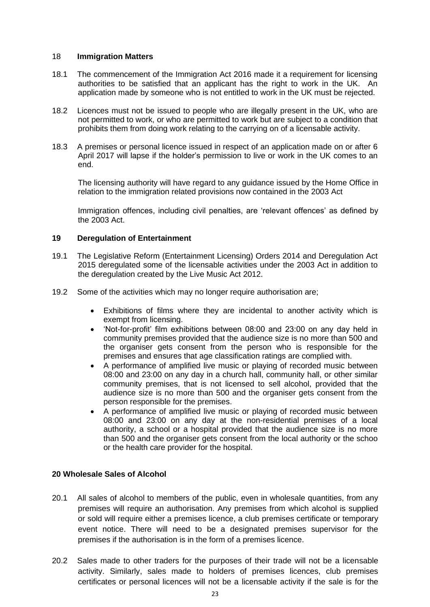#### 18 **Immigration Matters**

- 18.1 The commencement of the Immigration Act 2016 made it a requirement for licensing authorities to be satisfied that an applicant has the right to work in the UK. An application made by someone who is not entitled to work in the UK must be rejected.
- 18.2 Licences must not be issued to people who are illegally present in the UK, who are not permitted to work, or who are permitted to work but are subject to a condition that prohibits them from doing work relating to the carrying on of a licensable activity.
- 18.3 A premises or personal licence issued in respect of an application made on or after 6 April 2017 will lapse if the holder's permission to live or work in the UK comes to an end.

The licensing authority will have regard to any guidance issued by the Home Office in relation to the immigration related provisions now contained in the 2003 Act

Immigration offences, including civil penalties, are 'relevant offences' as defined by the 2003 Act.

### **19 Deregulation of Entertainment**

- 19.1 The Legislative Reform (Entertainment Licensing) Orders 2014 and Deregulation Act 2015 deregulated some of the licensable activities under the 2003 Act in addition to the deregulation created by the Live Music Act 2012.
- 19.2 Some of the activities which may no longer require authorisation are;
	- Exhibitions of films where they are incidental to another activity which is exempt from licensing.
	- 'Not-for-profit' film exhibitions between 08:00 and 23:00 on any day held in community premises provided that the audience size is no more than 500 and the organiser gets consent from the person who is responsible for the premises and ensures that age classification ratings are complied with.
	- A performance of amplified live music or playing of recorded music between 08:00 and 23:00 on any day in a church hall, community hall, or other similar community premises, that is not licensed to sell alcohol, provided that the audience size is no more than 500 and the organiser gets consent from the person responsible for the premises.
	- A performance of amplified live music or playing of recorded music between 08:00 and 23:00 on any day at the non-residential premises of a local authority, a school or a hospital provided that the audience size is no more than 500 and the organiser gets consent from the local authority or the schoo or the health care provider for the hospital.

### **20 Wholesale Sales of Alcohol**

- 20.1 All sales of alcohol to members of the public, even in wholesale quantities, from any premises will require an authorisation. Any premises from which alcohol is supplied or sold will require either a premises licence, a club premises certificate or temporary event notice. There will need to be a designated premises supervisor for the premises if the authorisation is in the form of a premises licence.
- 20.2 Sales made to other traders for the purposes of their trade will not be a licensable activity. Similarly, sales made to holders of premises licences, club premises certificates or personal licences will not be a licensable activity if the sale is for the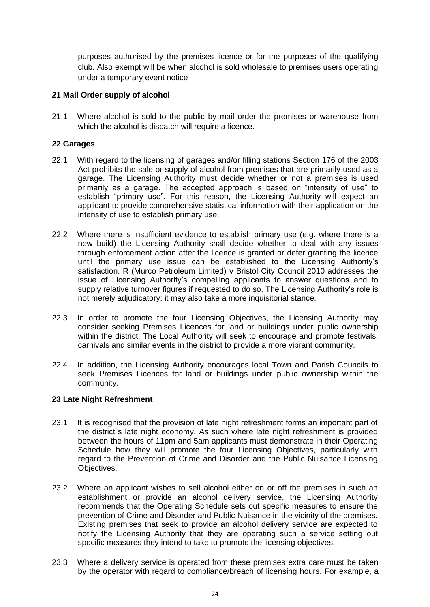purposes authorised by the premises licence or for the purposes of the qualifying club. Also exempt will be when alcohol is sold wholesale to premises users operating under a temporary event notice

### **21 Mail Order supply of alcohol**

21.1 Where alcohol is sold to the public by mail order the premises or warehouse from which the alcohol is dispatch will require a licence.

### **22 Garages**

- 22.1 With regard to the licensing of garages and/or filling stations Section 176 of the 2003 Act prohibits the sale or supply of alcohol from premises that are primarily used as a garage. The Licensing Authority must decide whether or not a premises is used primarily as a garage. The accepted approach is based on "intensity of use" to establish "primary use". For this reason, the Licensing Authority will expect an applicant to provide comprehensive statistical information with their application on the intensity of use to establish primary use.
- 22.2 Where there is insufficient evidence to establish primary use (e.g. where there is a new build) the Licensing Authority shall decide whether to deal with any issues through enforcement action after the licence is granted or defer granting the licence until the primary use issue can be established to the Licensing Authority's satisfaction. R (Murco Petroleum Limited) v Bristol City Council 2010 addresses the issue of Licensing Authority's compelling applicants to answer questions and to supply relative turnover figures if requested to do so. The Licensing Authority's role is not merely adjudicatory; it may also take a more inquisitorial stance.
- 22.3 In order to promote the four Licensing Objectives, the Licensing Authority may consider seeking Premises Licences for land or buildings under public ownership within the district. The Local Authority will seek to encourage and promote festivals, carnivals and similar events in the district to provide a more vibrant community.
- 22.4 In addition, the Licensing Authority encourages local Town and Parish Councils to seek Premises Licences for land or buildings under public ownership within the community.

### **23 Late Night Refreshment**

- 23.1 It is recognised that the provision of late night refreshment forms an important part of the district`s late night economy. As such where late night refreshment is provided between the hours of 11pm and 5am applicants must demonstrate in their Operating Schedule how they will promote the four Licensing Objectives, particularly with regard to the Prevention of Crime and Disorder and the Public Nuisance Licensing Objectives.
- 23.2 Where an applicant wishes to sell alcohol either on or off the premises in such an establishment or provide an alcohol delivery service, the Licensing Authority recommends that the Operating Schedule sets out specific measures to ensure the prevention of Crime and Disorder and Public Nuisance in the vicinity of the premises. Existing premises that seek to provide an alcohol delivery service are expected to notify the Licensing Authority that they are operating such a service setting out specific measures they intend to take to promote the licensing objectives.
- 23.3 Where a delivery service is operated from these premises extra care must be taken by the operator with regard to compliance/breach of licensing hours. For example, a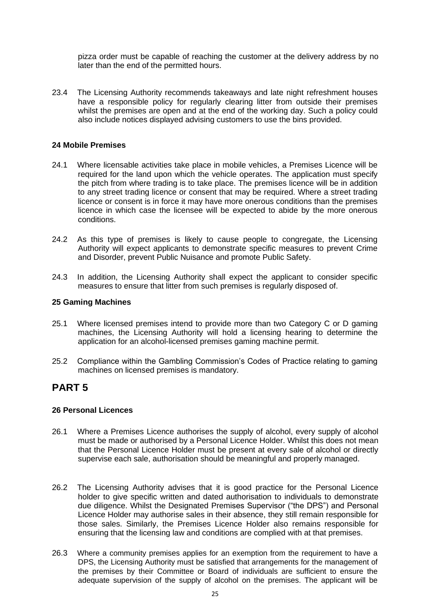pizza order must be capable of reaching the customer at the delivery address by no later than the end of the permitted hours.

23.4 The Licensing Authority recommends takeaways and late night refreshment houses have a responsible policy for regularly clearing litter from outside their premises whilst the premises are open and at the end of the working day. Such a policy could also include notices displayed advising customers to use the bins provided.

### **24 Mobile Premises**

- 24.1 Where licensable activities take place in mobile vehicles, a Premises Licence will be required for the land upon which the vehicle operates. The application must specify the pitch from where trading is to take place. The premises licence will be in addition to any street trading licence or consent that may be required. Where a street trading licence or consent is in force it may have more onerous conditions than the premises licence in which case the licensee will be expected to abide by the more onerous conditions.
- 24.2 As this type of premises is likely to cause people to congregate, the Licensing Authority will expect applicants to demonstrate specific measures to prevent Crime and Disorder, prevent Public Nuisance and promote Public Safety.
- 24.3 In addition, the Licensing Authority shall expect the applicant to consider specific measures to ensure that litter from such premises is regularly disposed of.

### **25 Gaming Machines**

- 25.1 Where licensed premises intend to provide more than two Category C or D gaming machines, the Licensing Authority will hold a licensing hearing to determine the application for an alcohol-licensed premises gaming machine permit.
- 25.2 Compliance within the Gambling Commission's Codes of Practice relating to gaming machines on licensed premises is mandatory.

### **PART 5**

#### **26 Personal Licences**

- 26.1 Where a Premises Licence authorises the supply of alcohol, every supply of alcohol must be made or authorised by a Personal Licence Holder. Whilst this does not mean that the Personal Licence Holder must be present at every sale of alcohol or directly supervise each sale, authorisation should be meaningful and properly managed.
- 26.2 The Licensing Authority advises that it is good practice for the Personal Licence holder to give specific written and dated authorisation to individuals to demonstrate due diligence. Whilst the Designated Premises Supervisor ("the DPS") and Personal Licence Holder may authorise sales in their absence, they still remain responsible for those sales. Similarly, the Premises Licence Holder also remains responsible for ensuring that the licensing law and conditions are complied with at that premises.
- 26.3 Where a community premises applies for an exemption from the requirement to have a DPS, the Licensing Authority must be satisfied that arrangements for the management of the premises by their Committee or Board of individuals are sufficient to ensure the adequate supervision of the supply of alcohol on the premises. The applicant will be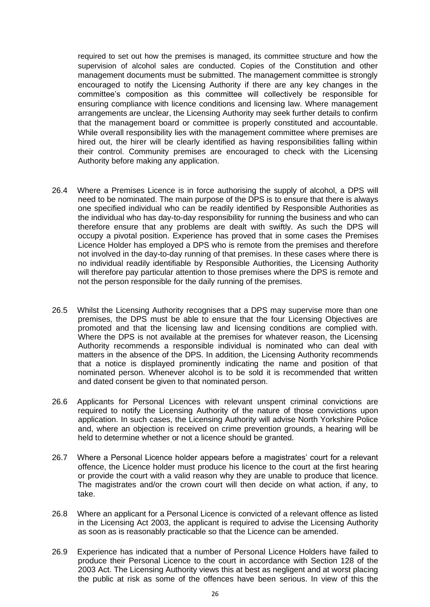required to set out how the premises is managed, its committee structure and how the supervision of alcohol sales are conducted. Copies of the Constitution and other management documents must be submitted. The management committee is strongly encouraged to notify the Licensing Authority if there are any key changes in the committee's composition as this committee will collectively be responsible for ensuring compliance with licence conditions and licensing law. Where management arrangements are unclear, the Licensing Authority may seek further details to confirm that the management board or committee is properly constituted and accountable. While overall responsibility lies with the management committee where premises are hired out, the hirer will be clearly identified as having responsibilities falling within their control. Community premises are encouraged to check with the Licensing Authority before making any application.

- 26.4 Where a Premises Licence is in force authorising the supply of alcohol, a DPS will need to be nominated. The main purpose of the DPS is to ensure that there is always one specified individual who can be readily identified by Responsible Authorities as the individual who has day-to-day responsibility for running the business and who can therefore ensure that any problems are dealt with swiftly. As such the DPS will occupy a pivotal position. Experience has proved that in some cases the Premises Licence Holder has employed a DPS who is remote from the premises and therefore not involved in the day-to-day running of that premises. In these cases where there is no individual readily identifiable by Responsible Authorities, the Licensing Authority will therefore pay particular attention to those premises where the DPS is remote and not the person responsible for the daily running of the premises.
- 26.5 Whilst the Licensing Authority recognises that a DPS may supervise more than one premises, the DPS must be able to ensure that the four Licensing Objectives are promoted and that the licensing law and licensing conditions are complied with. Where the DPS is not available at the premises for whatever reason, the Licensing Authority recommends a responsible individual is nominated who can deal with matters in the absence of the DPS. In addition, the Licensing Authority recommends that a notice is displayed prominently indicating the name and position of that nominated person. Whenever alcohol is to be sold it is recommended that written and dated consent be given to that nominated person.
- 26.6 Applicants for Personal Licences with relevant unspent criminal convictions are required to notify the Licensing Authority of the nature of those convictions upon application. In such cases, the Licensing Authority will advise North Yorkshire Police and, where an objection is received on crime prevention grounds, a hearing will be held to determine whether or not a licence should be granted.
- 26.7 Where a Personal Licence holder appears before a magistrates' court for a relevant offence, the Licence holder must produce his licence to the court at the first hearing or provide the court with a valid reason why they are unable to produce that licence. The magistrates and/or the crown court will then decide on what action, if any, to take.
- 26.8 Where an applicant for a Personal Licence is convicted of a relevant offence as listed in the Licensing Act 2003, the applicant is required to advise the Licensing Authority as soon as is reasonably practicable so that the Licence can be amended.
- 26.9 Experience has indicated that a number of Personal Licence Holders have failed to produce their Personal Licence to the court in accordance with Section 128 of the 2003 Act. The Licensing Authority views this at best as negligent and at worst placing the public at risk as some of the offences have been serious. In view of this the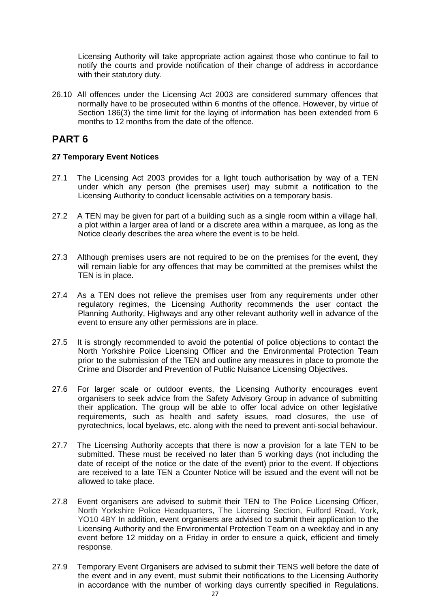Licensing Authority will take appropriate action against those who continue to fail to notify the courts and provide notification of their change of address in accordance with their statutory duty.

26.10 All offences under the Licensing Act 2003 are considered summary offences that normally have to be prosecuted within 6 months of the offence. However, by virtue of Section 186(3) the time limit for the laying of information has been extended from 6 months to 12 months from the date of the offence.

### **PART 6**

### **27 Temporary Event Notices**

- 27.1 The Licensing Act 2003 provides for a light touch authorisation by way of a TEN under which any person (the premises user) may submit a notification to the Licensing Authority to conduct licensable activities on a temporary basis.
- 27.2 A TEN may be given for part of a building such as a single room within a village hall, a plot within a larger area of land or a discrete area within a marquee, as long as the Notice clearly describes the area where the event is to be held.
- 27.3 Although premises users are not required to be on the premises for the event, they will remain liable for any offences that may be committed at the premises whilst the TEN is in place.
- 27.4 As a TEN does not relieve the premises user from any requirements under other regulatory regimes, the Licensing Authority recommends the user contact the Planning Authority, Highways and any other relevant authority well in advance of the event to ensure any other permissions are in place.
- 27.5 It is strongly recommended to avoid the potential of police objections to contact the North Yorkshire Police Licensing Officer and the Environmental Protection Team prior to the submission of the TEN and outline any measures in place to promote the Crime and Disorder and Prevention of Public Nuisance Licensing Objectives.
- 27.6 For larger scale or outdoor events, the Licensing Authority encourages event organisers to seek advice from the Safety Advisory Group in advance of submitting their application. The group will be able to offer local advice on other legislative requirements, such as health and safety issues, road closures, the use of pyrotechnics, local byelaws, etc. along with the need to prevent anti-social behaviour.
- 27.7 The Licensing Authority accepts that there is now a provision for a late TEN to be submitted. These must be received no later than 5 working days (not including the date of receipt of the notice or the date of the event) prior to the event. If objections are received to a late TEN a Counter Notice will be issued and the event will not be allowed to take place.
- 27.8 Event organisers are advised to submit their TEN to The Police Licensing Officer, North Yorkshire Police Headquarters, The Licensing Section, Fulford Road, York, YO10 4BY In addition, event organisers are advised to submit their application to the Licensing Authority and the Environmental Protection Team on a weekday and in any event before 12 midday on a Friday in order to ensure a quick, efficient and timely response.
- 27.9 Temporary Event Organisers are advised to submit their TENS well before the date of the event and in any event, must submit their notifications to the Licensing Authority in accordance with the number of working days currently specified in Regulations.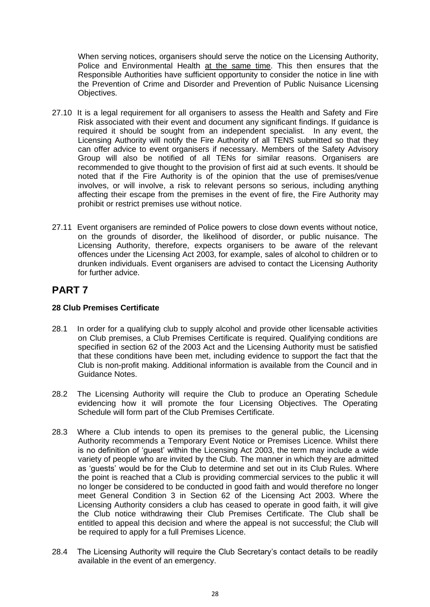When serving notices, organisers should serve the notice on the Licensing Authority, Police and Environmental Health at the same time. This then ensures that the Responsible Authorities have sufficient opportunity to consider the notice in line with the Prevention of Crime and Disorder and Prevention of Public Nuisance Licensing Objectives.

- 27.10 It is a legal requirement for all organisers to assess the Health and Safety and Fire Risk associated with their event and document any significant findings. If guidance is required it should be sought from an independent specialist. In any event, the Licensing Authority will notify the Fire Authority of all TENS submitted so that they can offer advice to event organisers if necessary. Members of the Safety Advisory Group will also be notified of all TENs for similar reasons. Organisers are recommended to give thought to the provision of first aid at such events. It should be noted that if the Fire Authority is of the opinion that the use of premises/venue involves, or will involve, a risk to relevant persons so serious, including anything affecting their escape from the premises in the event of fire, the Fire Authority may prohibit or restrict premises use without notice.
- 27.11 Event organisers are reminded of Police powers to close down events without notice, on the grounds of disorder, the likelihood of disorder, or public nuisance. The Licensing Authority, therefore, expects organisers to be aware of the relevant offences under the Licensing Act 2003, for example, sales of alcohol to children or to drunken individuals. Event organisers are advised to contact the Licensing Authority for further advice.

### **PART 7**

### **28 Club Premises Certificate**

- 28.1 In order for a qualifying club to supply alcohol and provide other licensable activities on Club premises, a Club Premises Certificate is required. Qualifying conditions are specified in section 62 of the 2003 Act and the Licensing Authority must be satisfied that these conditions have been met, including evidence to support the fact that the Club is non-profit making. Additional information is available from the Council and in Guidance Notes.
- 28.2 The Licensing Authority will require the Club to produce an Operating Schedule evidencing how it will promote the four Licensing Objectives. The Operating Schedule will form part of the Club Premises Certificate.
- 28.3 Where a Club intends to open its premises to the general public, the Licensing Authority recommends a Temporary Event Notice or Premises Licence. Whilst there is no definition of 'guest' within the Licensing Act 2003, the term may include a wide variety of people who are invited by the Club. The manner in which they are admitted as 'guests' would be for the Club to determine and set out in its Club Rules. Where the point is reached that a Club is providing commercial services to the public it will no longer be considered to be conducted in good faith and would therefore no longer meet General Condition 3 in Section 62 of the Licensing Act 2003. Where the Licensing Authority considers a club has ceased to operate in good faith, it will give the Club notice withdrawing their Club Premises Certificate. The Club shall be entitled to appeal this decision and where the appeal is not successful; the Club will be required to apply for a full Premises Licence.
- 28.4 The Licensing Authority will require the Club Secretary's contact details to be readily available in the event of an emergency.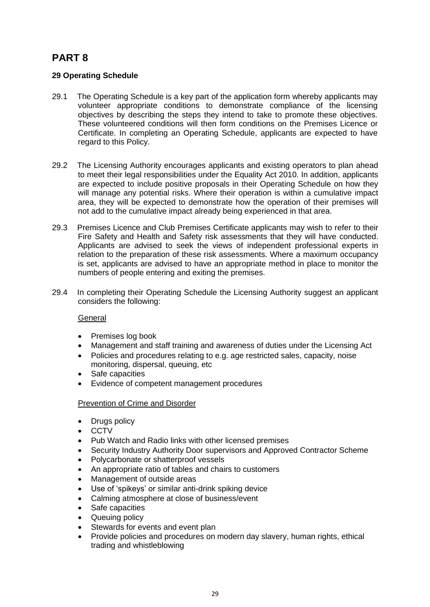## **PART 8**

### **29 Operating Schedule**

- 29.1 The Operating Schedule is a key part of the application form whereby applicants may volunteer appropriate conditions to demonstrate compliance of the licensing objectives by describing the steps they intend to take to promote these objectives. These volunteered conditions will then form conditions on the Premises Licence or Certificate. In completing an Operating Schedule, applicants are expected to have regard to this Policy.
- 29.2 The Licensing Authority encourages applicants and existing operators to plan ahead to meet their legal responsibilities under the Equality Act 2010. In addition, applicants are expected to include positive proposals in their Operating Schedule on how they will manage any potential risks. Where their operation is within a cumulative impact area, they will be expected to demonstrate how the operation of their premises will not add to the cumulative impact already being experienced in that area.
- 29.3 Premises Licence and Club Premises Certificate applicants may wish to refer to their Fire Safety and Health and Safety risk assessments that they will have conducted. Applicants are advised to seek the views of independent professional experts in relation to the preparation of these risk assessments. Where a maximum occupancy is set, applicants are advised to have an appropriate method in place to monitor the numbers of people entering and exiting the premises.
- 29.4 In completing their Operating Schedule the Licensing Authority suggest an applicant considers the following:

### General

- Premises log book
- Management and staff training and awareness of duties under the Licensing Act
- Policies and procedures relating to e.g. age restricted sales, capacity, noise monitoring, dispersal, queuing, etc
- Safe capacities
- Evidence of competent management procedures

#### Prevention of Crime and Disorder

- Drugs policy
- CCTV
- Pub Watch and Radio links with other licensed premises
- Security Industry Authority Door supervisors and Approved Contractor Scheme
- Polycarbonate or shatterproof vessels
- An appropriate ratio of tables and chairs to customers
- Management of outside areas
- Use of 'spikeys' or similar anti-drink spiking device
- Calming atmosphere at close of business/event
- Safe capacities
- Queuing policy
- Stewards for events and event plan
- Provide policies and procedures on modern day slavery, human rights, ethical trading and whistleblowing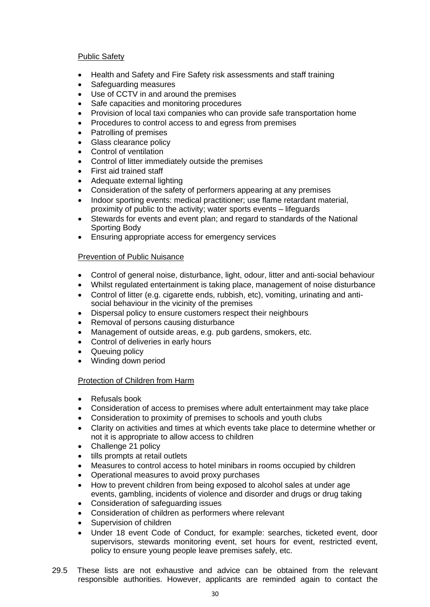### Public Safety

- Health and Safety and Fire Safety risk assessments and staff training
- Safeguarding measures
- Use of CCTV in and around the premises
- Safe capacities and monitoring procedures
- Provision of local taxi companies who can provide safe transportation home
- Procedures to control access to and egress from premises
- Patrolling of premises
- Glass clearance policy
- Control of ventilation
- Control of litter immediately outside the premises
- First aid trained staff
- Adequate external lighting
- Consideration of the safety of performers appearing at any premises
- Indoor sporting events: medical practitioner; use flame retardant material, proximity of public to the activity; water sports events – lifeguards
- Stewards for events and event plan; and regard to standards of the National Sporting Body
- Ensuring appropriate access for emergency services

### Prevention of Public Nuisance

- Control of general noise, disturbance, light, odour, litter and anti-social behaviour
- Whilst regulated entertainment is taking place, management of noise disturbance
- Control of litter (e.g. cigarette ends, rubbish, etc), vomiting, urinating and antisocial behaviour in the vicinity of the premises
- Dispersal policy to ensure customers respect their neighbours
- Removal of persons causing disturbance
- Management of outside areas, e.g. pub gardens, smokers, etc.
- Control of deliveries in early hours
- Queuing policy
- Winding down period

### Protection of Children from Harm

- Refusals book
- Consideration of access to premises where adult entertainment may take place
- Consideration to proximity of premises to schools and youth clubs
- Clarity on activities and times at which events take place to determine whether or not it is appropriate to allow access to children
- Challenge 21 policy
- tills prompts at retail outlets
- Measures to control access to hotel minibars in rooms occupied by children
- Operational measures to avoid proxy purchases
- How to prevent children from being exposed to alcohol sales at under age events, gambling, incidents of violence and disorder and drugs or drug taking
- Consideration of safeguarding issues
- Consideration of children as performers where relevant
- Supervision of children
- Under 18 event Code of Conduct, for example: searches, ticketed event, door supervisors, stewards monitoring event, set hours for event, restricted event, policy to ensure young people leave premises safely, etc.
- 29.5 These lists are not exhaustive and advice can be obtained from the relevant responsible authorities. However, applicants are reminded again to contact the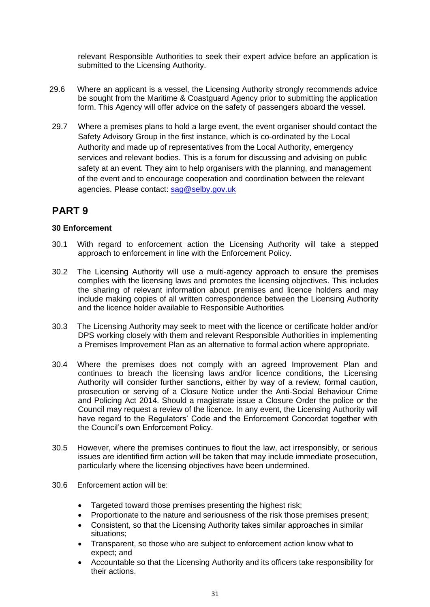relevant Responsible Authorities to seek their expert advice before an application is submitted to the Licensing Authority.

- 29.6 Where an applicant is a vessel, the Licensing Authority strongly recommends advice be sought from the Maritime & Coastguard Agency prior to submitting the application form. This Agency will offer advice on the safety of passengers aboard the vessel.
- 29.7 Where a premises plans to hold a large event, the event organiser should contact the Safety Advisory Group in the first instance, which is co-ordinated by the Local Authority and made up of representatives from the Local Authority, emergency services and relevant bodies. This is a forum for discussing and advising on public safety at an event. They aim to help organisers with the planning, and management of the event and to encourage cooperation and coordination between the relevant agencies. Please contact: [sag@selby.gov.uk](mailto:sag@selby.gov.uk)

### **PART 9**

### **30 Enforcement**

- 30.1 With regard to enforcement action the Licensing Authority will take a stepped approach to enforcement in line with the Enforcement Policy.
- 30.2 The Licensing Authority will use a multi-agency approach to ensure the premises complies with the licensing laws and promotes the licensing objectives. This includes the sharing of relevant information about premises and licence holders and may include making copies of all written correspondence between the Licensing Authority and the licence holder available to Responsible Authorities
- 30.3 The Licensing Authority may seek to meet with the licence or certificate holder and/or DPS working closely with them and relevant Responsible Authorities in implementing a Premises Improvement Plan as an alternative to formal action where appropriate.
- 30.4 Where the premises does not comply with an agreed Improvement Plan and continues to breach the licensing laws and/or licence conditions, the Licensing Authority will consider further sanctions, either by way of a review, formal caution, prosecution or serving of a Closure Notice under the Anti-Social Behaviour Crime and Policing Act 2014. Should a magistrate issue a Closure Order the police or the Council may request a review of the licence. In any event, the Licensing Authority will have regard to the Regulators' Code and the Enforcement Concordat together with the Council's own Enforcement Policy.
- 30.5 However, where the premises continues to flout the law, act irresponsibly, or serious issues are identified firm action will be taken that may include immediate prosecution, particularly where the licensing objectives have been undermined.
- 30.6 Enforcement action will be:
	- Targeted toward those premises presenting the highest risk;
	- Proportionate to the nature and seriousness of the risk those premises present;
	- Consistent, so that the Licensing Authority takes similar approaches in similar situations;
	- Transparent, so those who are subject to enforcement action know what to expect; and
	- Accountable so that the Licensing Authority and its officers take responsibility for their actions.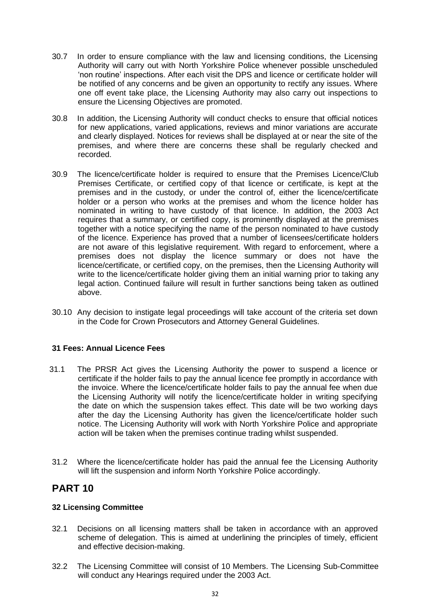- 30.7 In order to ensure compliance with the law and licensing conditions, the Licensing Authority will carry out with North Yorkshire Police whenever possible unscheduled 'non routine' inspections. After each visit the DPS and licence or certificate holder will be notified of any concerns and be given an opportunity to rectify any issues. Where one off event take place, the Licensing Authority may also carry out inspections to ensure the Licensing Objectives are promoted.
- 30.8 In addition, the Licensing Authority will conduct checks to ensure that official notices for new applications, varied applications, reviews and minor variations are accurate and clearly displayed. Notices for reviews shall be displayed at or near the site of the premises, and where there are concerns these shall be regularly checked and recorded.
- 30.9 The licence/certificate holder is required to ensure that the Premises Licence/Club Premises Certificate, or certified copy of that licence or certificate, is kept at the premises and in the custody, or under the control of, either the licence/certificate holder or a person who works at the premises and whom the licence holder has nominated in writing to have custody of that licence. In addition, the 2003 Act requires that a summary, or certified copy, is prominently displayed at the premises together with a notice specifying the name of the person nominated to have custody of the licence. Experience has proved that a number of licensees/certificate holders are not aware of this legislative requirement. With regard to enforcement, where a premises does not display the licence summary or does not have the licence/certificate, or certified copy, on the premises, then the Licensing Authority will write to the licence/certificate holder giving them an initial warning prior to taking any legal action. Continued failure will result in further sanctions being taken as outlined above.
- 30.10 Any decision to instigate legal proceedings will take account of the criteria set down in the Code for Crown Prosecutors and Attorney General Guidelines.

### **31 Fees: Annual Licence Fees**

- 31.1 The PRSR Act gives the Licensing Authority the power to suspend a licence or certificate if the holder fails to pay the annual licence fee promptly in accordance with the invoice. Where the licence/certificate holder fails to pay the annual fee when due the Licensing Authority will notify the licence/certificate holder in writing specifying the date on which the suspension takes effect. This date will be two working days after the day the Licensing Authority has given the licence/certificate holder such notice. The Licensing Authority will work with North Yorkshire Police and appropriate action will be taken when the premises continue trading whilst suspended.
- 31.2 Where the licence/certificate holder has paid the annual fee the Licensing Authority will lift the suspension and inform North Yorkshire Police accordingly.

### **PART 10**

### **32 Licensing Committee**

- 32.1 Decisions on all licensing matters shall be taken in accordance with an approved scheme of delegation. This is aimed at underlining the principles of timely, efficient and effective decision-making.
- 32.2 The Licensing Committee will consist of 10 Members. The Licensing Sub-Committee will conduct any Hearings required under the 2003 Act.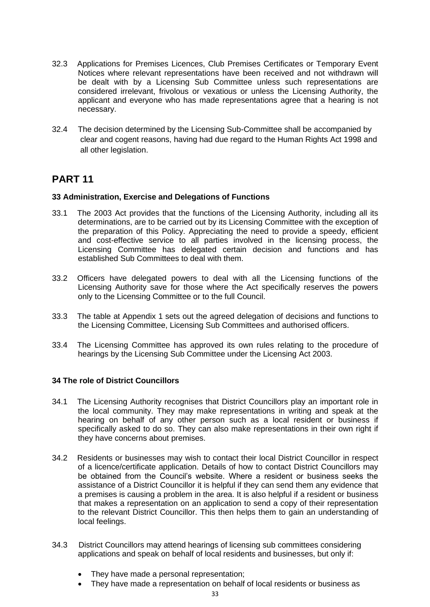- 32.3 Applications for Premises Licences, Club Premises Certificates or Temporary Event Notices where relevant representations have been received and not withdrawn will be dealt with by a Licensing Sub Committee unless such representations are considered irrelevant, frivolous or vexatious or unless the Licensing Authority, the applicant and everyone who has made representations agree that a hearing is not necessary.
- 32.4 The decision determined by the Licensing Sub-Committee shall be accompanied by clear and cogent reasons, having had due regard to the Human Rights Act 1998 and all other legislation.

### **PART 11**

### **33 Administration, Exercise and Delegations of Functions**

- 33.1 The 2003 Act provides that the functions of the Licensing Authority, including all its determinations, are to be carried out by its Licensing Committee with the exception of the preparation of this Policy. Appreciating the need to provide a speedy, efficient and cost-effective service to all parties involved in the licensing process, the Licensing Committee has delegated certain decision and functions and has established Sub Committees to deal with them.
- 33.2 Officers have delegated powers to deal with all the Licensing functions of the Licensing Authority save for those where the Act specifically reserves the powers only to the Licensing Committee or to the full Council.
- 33.3 The table at Appendix 1 sets out the agreed delegation of decisions and functions to the Licensing Committee, Licensing Sub Committees and authorised officers.
- 33.4 The Licensing Committee has approved its own rules relating to the procedure of hearings by the Licensing Sub Committee under the Licensing Act 2003.

### **34 The role of District Councillors**

- 34.1 The Licensing Authority recognises that District Councillors play an important role in the local community. They may make representations in writing and speak at the hearing on behalf of any other person such as a local resident or business if specifically asked to do so. They can also make representations in their own right if they have concerns about premises.
- 34.2 Residents or businesses may wish to contact their local District Councillor in respect of a licence/certificate application. Details of how to contact District Councillors may be obtained from the Council's website. Where a resident or business seeks the assistance of a District Councillor it is helpful if they can send them any evidence that a premises is causing a problem in the area. It is also helpful if a resident or business that makes a representation on an application to send a copy of their representation to the relevant District Councillor. This then helps them to gain an understanding of local feelings.
- 34.3 District Councillors may attend hearings of licensing sub committees considering applications and speak on behalf of local residents and businesses, but only if:
	- They have made a personal representation;
	- They have made a representation on behalf of local residents or business as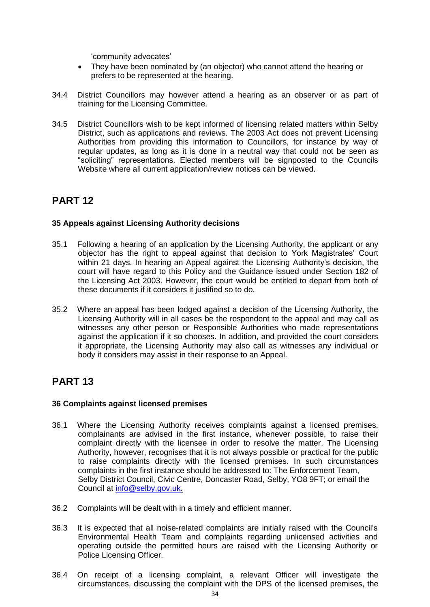'community advocates'

- They have been nominated by (an objector) who cannot attend the hearing or prefers to be represented at the hearing.
- 34.4 District Councillors may however attend a hearing as an observer or as part of training for the Licensing Committee.
- 34.5 District Councillors wish to be kept informed of licensing related matters within Selby District, such as applications and reviews. The 2003 Act does not prevent Licensing Authorities from providing this information to Councillors, for instance by way of regular updates, as long as it is done in a neutral way that could not be seen as "soliciting" representations. Elected members will be signposted to the Councils Website where all current application/review notices can be viewed.

### **PART 12**

### **35 Appeals against Licensing Authority decisions**

- 35.1 Following a hearing of an application by the Licensing Authority, the applicant or any objector has the right to appeal against that decision to York Magistrates' Court within 21 days. In hearing an Appeal against the Licensing Authority's decision, the court will have regard to this Policy and the Guidance issued under Section 182 of the Licensing Act 2003. However, the court would be entitled to depart from both of these documents if it considers it justified so to do.
- 35.2 Where an appeal has been lodged against a decision of the Licensing Authority, the Licensing Authority will in all cases be the respondent to the appeal and may call as witnesses any other person or Responsible Authorities who made representations against the application if it so chooses. In addition, and provided the court considers it appropriate, the Licensing Authority may also call as witnesses any individual or body it considers may assist in their response to an Appeal.

### **PART 13**

### **36 Complaints against licensed premises**

- 36.1 Where the Licensing Authority receives complaints against a licensed premises, complainants are advised in the first instance, whenever possible, to raise their complaint directly with the licensee in order to resolve the matter. The Licensing Authority, however, recognises that it is not always possible or practical for the public to raise complaints directly with the licensed premises. In such circumstances complaints in the first instance should be addressed to: The Enforcement Team, Selby District Council, Civic Centre, Doncaster Road, Selby, YO8 9FT; or email the Council at [info@selby.gov.uk.](mailto:info@selby.gov.uk)
- 36.2 Complaints will be dealt with in a timely and efficient manner.
- 36.3 It is expected that all noise-related complaints are initially raised with the Council's Environmental Health Team and complaints regarding unlicensed activities and operating outside the permitted hours are raised with the Licensing Authority or Police Licensing Officer.
- 36.4 On receipt of a licensing complaint, a relevant Officer will investigate the circumstances, discussing the complaint with the DPS of the licensed premises, the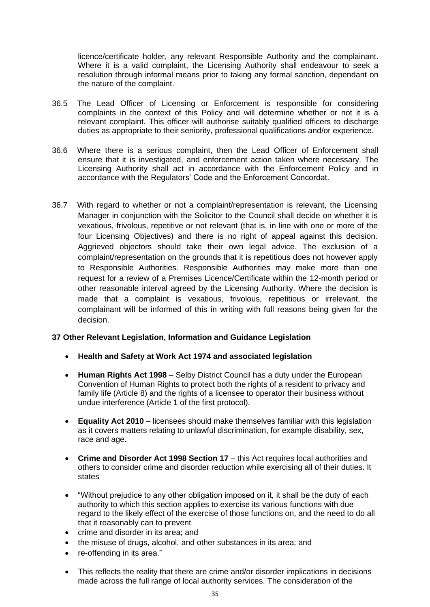licence/certificate holder, any relevant Responsible Authority and the complainant. Where it is a valid complaint, the Licensing Authority shall endeavour to seek a resolution through informal means prior to taking any formal sanction, dependant on the nature of the complaint.

- 36.5 The Lead Officer of Licensing or Enforcement is responsible for considering complaints in the context of this Policy and will determine whether or not it is a relevant complaint. This officer will authorise suitably qualified officers to discharge duties as appropriate to their seniority, professional qualifications and/or experience.
- 36.6 Where there is a serious complaint, then the Lead Officer of Enforcement shall ensure that it is investigated, and enforcement action taken where necessary. The Licensing Authority shall act in accordance with the Enforcement Policy and in accordance with the Regulators' Code and the Enforcement Concordat.
- 36.7 With regard to whether or not a complaint/representation is relevant, the Licensing Manager in conjunction with the Solicitor to the Council shall decide on whether it is vexatious, frivolous, repetitive or not relevant (that is, in line with one or more of the four Licensing Objectives) and there is no right of appeal against this decision. Aggrieved objectors should take their own legal advice. The exclusion of a complaint/representation on the grounds that it is repetitious does not however apply to Responsible Authorities. Responsible Authorities may make more than one request for a review of a Premises Licence/Certificate within the 12-month period or other reasonable interval agreed by the Licensing Authority. Where the decision is made that a complaint is vexatious, frivolous, repetitious or irrelevant, the complainant will be informed of this in writing with full reasons being given for the decision.

### **37 Other Relevant Legislation, Information and Guidance Legislation**

- **Health and Safety at Work Act 1974 and associated legislation**
- **Human Rights Act 1998**  Selby District Council has a duty under the European Convention of Human Rights to protect both the rights of a resident to privacy and family life (Article 8) and the rights of a licensee to operator their business without undue interference (Article 1 of the first protocol).
- **Equality Act 2010**  licensees should make themselves familiar with this legislation as it covers matters relating to unlawful discrimination, for example disability, sex, race and age.
- **Crime and Disorder Act 1998 Section 17**  this Act requires local authorities and others to consider crime and disorder reduction while exercising all of their duties. It states
- "Without prejudice to any other obligation imposed on it, it shall be the duty of each authority to which this section applies to exercise its various functions with due regard to the likely effect of the exercise of those functions on, and the need to do all that it reasonably can to prevent
- crime and disorder in its area; and
- the misuse of drugs, alcohol, and other substances in its area; and
- re-offending in its area."
- This reflects the reality that there are crime and/or disorder implications in decisions made across the full range of local authority services. The consideration of the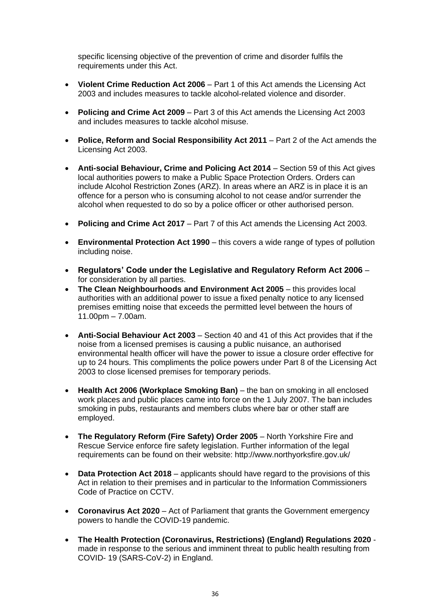specific licensing objective of the prevention of crime and disorder fulfils the requirements under this Act.

- **Violent Crime Reduction Act 2006**  Part 1 of this Act amends the Licensing Act 2003 and includes measures to tackle alcohol-related violence and disorder.
- **Policing and Crime Act 2009** Part 3 of this Act amends the Licensing Act 2003 and includes measures to tackle alcohol misuse.
- **Police, Reform and Social Responsibility Act 2011**  Part 2 of the Act amends the Licensing Act 2003.
- **Anti-social Behaviour, Crime and Policing Act 2014**  Section 59 of this Act gives local authorities powers to make a Public Space Protection Orders. Orders can include Alcohol Restriction Zones (ARZ). In areas where an ARZ is in place it is an offence for a person who is consuming alcohol to not cease and/or surrender the alcohol when requested to do so by a police officer or other authorised person.
- **Policing and Crime Act 2017**  Part 7 of this Act amends the Licensing Act 2003.
- **Environmental Protection Act 1990** this covers a wide range of types of pollution including noise.
- **Regulators' Code under the Legislative and Regulatory Reform Act 2006** for consideration by all parties.
- **The Clean Neighbourhoods and Environment Act 2005** this provides local authorities with an additional power to issue a fixed penalty notice to any licensed premises emitting noise that exceeds the permitted level between the hours of  $11.00$ pm –  $7.00$ am.
- **Anti-Social Behaviour Act 2003**  Section 40 and 41 of this Act provides that if the noise from a licensed premises is causing a public nuisance, an authorised environmental health officer will have the power to issue a closure order effective for up to 24 hours. This compliments the police powers under Part 8 of the Licensing Act 2003 to close licensed premises for temporary periods.
- **Health Act 2006 (Workplace Smoking Ban)**  the ban on smoking in all enclosed work places and public places came into force on the 1 July 2007. The ban includes smoking in pubs, restaurants and members clubs where bar or other staff are employed.
- **The Regulatory Reform (Fire Safety) Order 2005**  North Yorkshire Fire and Rescue Service enforce fire safety legislation. Further information of the legal requirements can be found on their website: http://www.northyorksfire.gov.uk/
- **Data Protection Act 2018**  applicants should have regard to the provisions of this Act in relation to their premises and in particular to the Information Commissioners Code of Practice on CCTV.
- **Coronavirus Act 2020** Act of Parliament that grants the Government emergency powers to handle the COVID-19 pandemic.
- **The Health Protection (Coronavirus, Restrictions) (England) Regulations 2020** made in response to the serious and imminent threat to public health resulting from COVID- 19 (SARS-CoV-2) in England.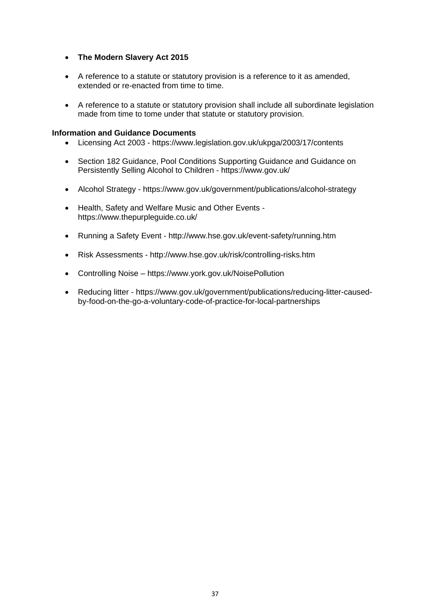### • **The Modern Slavery Act 2015**

- A reference to a statute or statutory provision is a reference to it as amended, extended or re-enacted from time to time.
- A reference to a statute or statutory provision shall include all subordinate legislation made from time to tome under that statute or statutory provision.

### **Information and Guidance Documents**

- Licensing Act 2003 https://www.legislation.gov.uk/ukpga/2003/17/contents
- Section 182 Guidance, Pool Conditions Supporting Guidance and Guidance on Persistently Selling Alcohol to Children - https://www.gov.uk/
- Alcohol Strategy https://www.gov.uk/government/publications/alcohol-strategy
- Health, Safety and Welfare Music and Other Events https://www.thepurpleguide.co.uk/
- Running a Safety Event http://www.hse.gov.uk/event-safety/running.htm
- Risk Assessments http://www.hse.gov.uk/risk/controlling-risks.htm
- Controlling Noise https://www.york.gov.uk/NoisePollution
- Reducing litter https://www.gov.uk/government/publications/reducing-litter-causedby-food-on-the-go-a-voluntary-code-of-practice-for-local-partnerships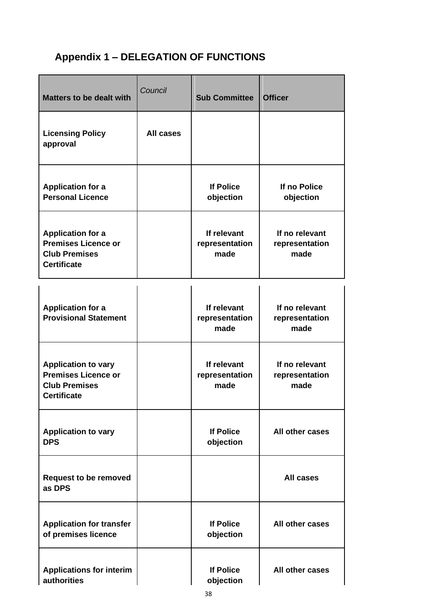# **Appendix 1 – DELEGATION OF FUNCTIONS**

| <b>Matters to be dealt with</b>                                                                        | Council   | <b>Sub Committee</b>                  | <b>Officer</b>                           |
|--------------------------------------------------------------------------------------------------------|-----------|---------------------------------------|------------------------------------------|
| <b>Licensing Policy</b><br>approval                                                                    | All cases |                                       |                                          |
| <b>Application for a</b><br><b>Personal Licence</b>                                                    |           | <b>If Police</b><br>objection         | If no Police<br>objection                |
| <b>Application for a</b><br><b>Premises Licence or</b><br><b>Club Premises</b><br><b>Certificate</b>   |           | If relevant<br>representation<br>made | If no relevant<br>representation<br>made |
| <b>Application for a</b><br><b>Provisional Statement</b>                                               |           | If relevant<br>representation<br>made | If no relevant<br>representation<br>made |
| <b>Application to vary</b><br><b>Premises Licence or</b><br><b>Club Premises</b><br><b>Certificate</b> |           | If relevant<br>representation<br>made | If no relevant<br>representation<br>made |
| <b>Application to vary</b><br><b>DPS</b>                                                               |           | <b>If Police</b><br>objection         | All other cases                          |
| <b>Request to be removed</b><br>as DPS                                                                 |           |                                       | <b>All cases</b>                         |
| <b>Application for transfer</b><br>of premises licence                                                 |           | <b>If Police</b><br>objection         | All other cases                          |
| <b>Applications for interim</b><br>authorities                                                         |           | <b>If Police</b><br>objection         | All other cases                          |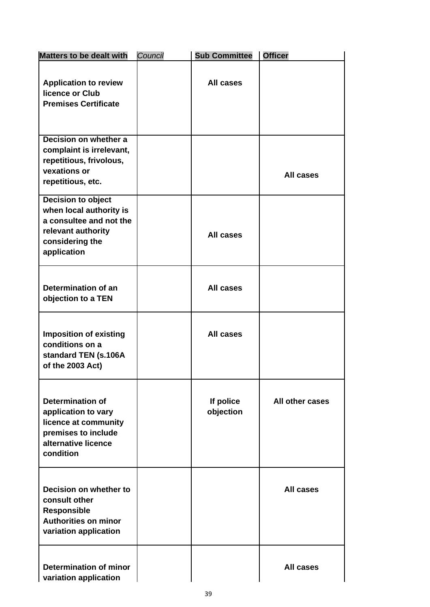| <b>Matters to be dealt with</b>                                                                                                   | Council | <b>Sub Committee</b>   | <b>Officer</b>   |
|-----------------------------------------------------------------------------------------------------------------------------------|---------|------------------------|------------------|
| <b>Application to review</b><br>licence or Club<br><b>Premises Certificate</b>                                                    |         | <b>All cases</b>       |                  |
| Decision on whether a<br>complaint is irrelevant,<br>repetitious, frivolous,<br>vexations or<br>repetitious, etc.                 |         |                        | <b>All cases</b> |
| Decision to object<br>when local authority is<br>a consultee and not the<br>relevant authority<br>considering the<br>application  |         | All cases              |                  |
| Determination of an<br>objection to a TEN                                                                                         |         | <b>All cases</b>       |                  |
| <b>Imposition of existing</b><br>conditions on a<br>standard TEN (s.106A<br>of the 2003 Act)                                      |         | All cases              |                  |
| <b>Determination of</b><br>application to vary<br>licence at community<br>premises to include<br>alternative licence<br>condition |         | If police<br>objection | All other cases  |
| Decision on whether to<br>consult other<br><b>Responsible</b><br><b>Authorities on minor</b><br>variation application             |         |                        | <b>All cases</b> |
| <b>Determination of minor</b><br>variation application                                                                            |         |                        | <b>All cases</b> |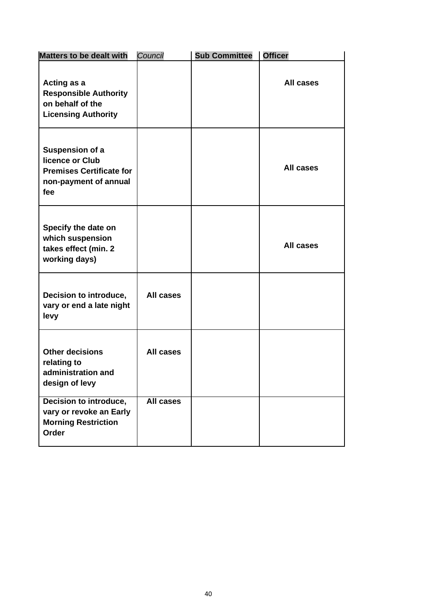| <b>Matters to be dealt with</b>                                                                       | Council   | <b>Sub Committee</b> | <b>Officer</b>   |
|-------------------------------------------------------------------------------------------------------|-----------|----------------------|------------------|
| Acting as a<br><b>Responsible Authority</b><br>on behalf of the<br><b>Licensing Authority</b>         |           |                      | All cases        |
| Suspension of a<br>licence or Club<br><b>Premises Certificate for</b><br>non-payment of annual<br>fee |           |                      | <b>All cases</b> |
| Specify the date on<br>which suspension<br>takes effect (min. 2<br>working days)                      |           |                      | <b>All cases</b> |
| Decision to introduce,<br>vary or end a late night<br>levy                                            | All cases |                      |                  |
| <b>Other decisions</b><br>relating to<br>administration and<br>design of levy                         | All cases |                      |                  |
| Decision to introduce,<br>vary or revoke an Early<br><b>Morning Restriction</b><br>Order              | All cases |                      |                  |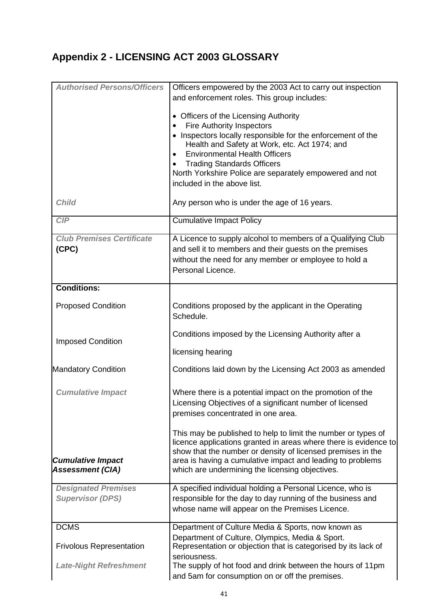# **Appendix 2 - LICENSING ACT 2003 GLOSSARY**

| <b>Authorised Persons/Officers</b>                  | Officers empowered by the 2003 Act to carry out inspection<br>and enforcement roles. This group includes:                                                                                                                                                                                                                                    |  |  |  |  |
|-----------------------------------------------------|----------------------------------------------------------------------------------------------------------------------------------------------------------------------------------------------------------------------------------------------------------------------------------------------------------------------------------------------|--|--|--|--|
|                                                     | • Officers of the Licensing Authority<br><b>Fire Authority Inspectors</b><br>Inspectors locally responsible for the enforcement of the<br>$\bullet$<br>Health and Safety at Work, etc. Act 1974; and<br><b>Environmental Health Officers</b><br><b>Trading Standards Officers</b><br>North Yorkshire Police are separately empowered and not |  |  |  |  |
|                                                     | included in the above list.                                                                                                                                                                                                                                                                                                                  |  |  |  |  |
| <b>Child</b>                                        | Any person who is under the age of 16 years.                                                                                                                                                                                                                                                                                                 |  |  |  |  |
| CIP                                                 | <b>Cumulative Impact Policy</b>                                                                                                                                                                                                                                                                                                              |  |  |  |  |
| <b>Club Premises Certificate</b><br>(CPC)           | A Licence to supply alcohol to members of a Qualifying Club<br>and sell it to members and their guests on the premises<br>without the need for any member or employee to hold a<br>Personal Licence.                                                                                                                                         |  |  |  |  |
| <b>Conditions:</b>                                  |                                                                                                                                                                                                                                                                                                                                              |  |  |  |  |
| <b>Proposed Condition</b>                           | Conditions proposed by the applicant in the Operating<br>Schedule.                                                                                                                                                                                                                                                                           |  |  |  |  |
| <b>Imposed Condition</b>                            | Conditions imposed by the Licensing Authority after a                                                                                                                                                                                                                                                                                        |  |  |  |  |
|                                                     | licensing hearing                                                                                                                                                                                                                                                                                                                            |  |  |  |  |
| <b>Mandatory Condition</b>                          | Conditions laid down by the Licensing Act 2003 as amended                                                                                                                                                                                                                                                                                    |  |  |  |  |
| <b>Cumulative Impact</b>                            | Where there is a potential impact on the promotion of the<br>Licensing Objectives of a significant number of licensed<br>premises concentrated in one area.                                                                                                                                                                                  |  |  |  |  |
| <b>Cumulative Impact</b><br><b>Assessment (CIA)</b> | This may be published to help to limit the number or types of<br>licence applications granted in areas where there is evidence to<br>show that the number or density of licensed premises in the<br>area is having a cumulative impact and leading to problems<br>which are undermining the licensing objectives.                            |  |  |  |  |
| <b>Designated Premises</b>                          | A specified individual holding a Personal Licence, who is                                                                                                                                                                                                                                                                                    |  |  |  |  |
| <b>Supervisor (DPS)</b>                             | responsible for the day to day running of the business and<br>whose name will appear on the Premises Licence.                                                                                                                                                                                                                                |  |  |  |  |
| <b>DCMS</b>                                         | Department of Culture Media & Sports, now known as                                                                                                                                                                                                                                                                                           |  |  |  |  |
| <b>Frivolous Representation</b>                     | Department of Culture, Olympics, Media & Sport.<br>Representation or objection that is categorised by its lack of                                                                                                                                                                                                                            |  |  |  |  |
| <b>Late-Night Refreshment</b>                       | seriousness.<br>The supply of hot food and drink between the hours of 11pm<br>and 5am for consumption on or off the premises.                                                                                                                                                                                                                |  |  |  |  |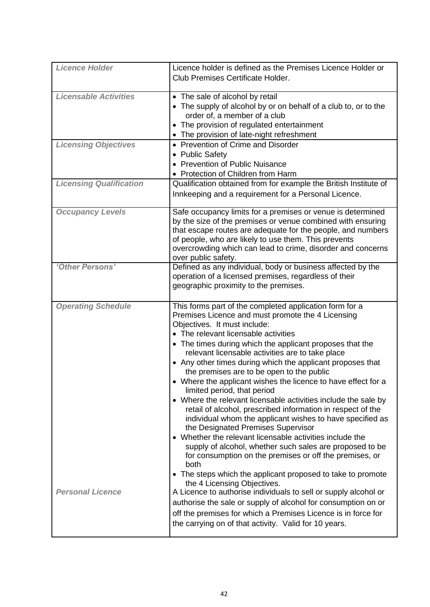| <b>Licence Holder</b>          | Licence holder is defined as the Premises Licence Holder or                                                            |
|--------------------------------|------------------------------------------------------------------------------------------------------------------------|
|                                | Club Premises Certificate Holder.                                                                                      |
|                                |                                                                                                                        |
| <b>Licensable Activities</b>   | • The sale of alcohol by retail                                                                                        |
|                                | • The supply of alcohol by or on behalf of a club to, or to the                                                        |
|                                | order of, a member of a club                                                                                           |
|                                | • The provision of regulated entertainment                                                                             |
|                                | • The provision of late-night refreshment                                                                              |
| <b>Licensing Objectives</b>    | • Prevention of Crime and Disorder                                                                                     |
|                                | • Public Safety                                                                                                        |
|                                | • Prevention of Public Nuisance                                                                                        |
|                                | • Protection of Children from Harm                                                                                     |
| <b>Licensing Qualification</b> | Qualification obtained from for example the British Institute of                                                       |
|                                | Innkeeping and a requirement for a Personal Licence.                                                                   |
| <b>Occupancy Levels</b>        | Safe occupancy limits for a premises or venue is determined                                                            |
|                                | by the size of the premises or venue combined with ensuring                                                            |
|                                | that escape routes are adequate for the people, and numbers                                                            |
|                                | of people, who are likely to use them. This prevents                                                                   |
|                                | overcrowding which can lead to crime, disorder and concerns                                                            |
|                                | over public safety.                                                                                                    |
| 'Other Persons'                | Defined as any individual, body or business affected by the                                                            |
|                                | operation of a licensed premises, regardless of their                                                                  |
|                                | geographic proximity to the premises.                                                                                  |
|                                |                                                                                                                        |
| <b>Operating Schedule</b>      | This forms part of the completed application form for a                                                                |
|                                | Premises Licence and must promote the 4 Licensing                                                                      |
|                                | Objectives. It must include:<br>• The relevant licensable activities                                                   |
|                                |                                                                                                                        |
|                                | • The times during which the applicant proposes that the<br>relevant licensable activities are to take place           |
|                                |                                                                                                                        |
|                                |                                                                                                                        |
|                                | • Any other times during which the applicant proposes that                                                             |
|                                | the premises are to be open to the public                                                                              |
|                                | • Where the applicant wishes the licence to have effect for a                                                          |
|                                | limited period, that period<br>• Where the relevant licensable activities include the sale by                          |
|                                | retail of alcohol, prescribed information in respect of the                                                            |
|                                | individual whom the applicant wishes to have specified as                                                              |
|                                | the Designated Premises Supervisor                                                                                     |
|                                | • Whether the relevant licensable activities include the                                                               |
|                                | supply of alcohol, whether such sales are proposed to be                                                               |
|                                | for consumption on the premises or off the premises, or<br>both                                                        |
|                                |                                                                                                                        |
|                                | • The steps which the applicant proposed to take to promote                                                            |
| <b>Personal Licence</b>        | the 4 Licensing Objectives.<br>A Licence to authorise individuals to sell or supply alcohol or                         |
|                                |                                                                                                                        |
|                                | authorise the sale or supply of alcohol for consumption on or                                                          |
|                                | off the premises for which a Premises Licence is in force for<br>the carrying on of that activity. Valid for 10 years. |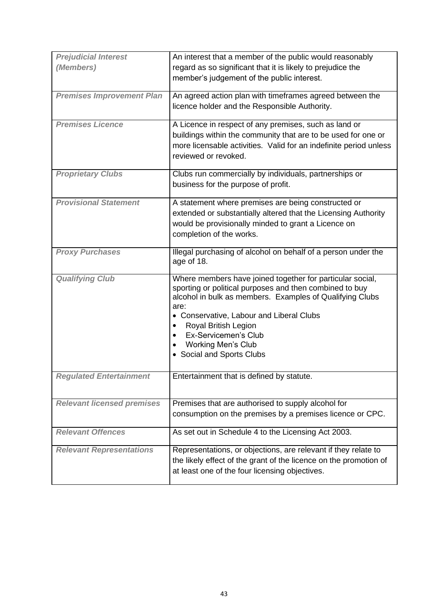| <b>Prejudicial Interest</b>       | An interest that a member of the public would reasonably                                                                                                                                                                                                                                                                                                  |
|-----------------------------------|-----------------------------------------------------------------------------------------------------------------------------------------------------------------------------------------------------------------------------------------------------------------------------------------------------------------------------------------------------------|
| (Members)                         | regard as so significant that it is likely to prejudice the<br>member's judgement of the public interest.                                                                                                                                                                                                                                                 |
| <b>Premises Improvement Plan</b>  | An agreed action plan with timeframes agreed between the<br>licence holder and the Responsible Authority.                                                                                                                                                                                                                                                 |
| <b>Premises Licence</b>           | A Licence in respect of any premises, such as land or<br>buildings within the community that are to be used for one or<br>more licensable activities. Valid for an indefinite period unless<br>reviewed or revoked.                                                                                                                                       |
| <b>Proprietary Clubs</b>          | Clubs run commercially by individuals, partnerships or<br>business for the purpose of profit.                                                                                                                                                                                                                                                             |
| <b>Provisional Statement</b>      | A statement where premises are being constructed or<br>extended or substantially altered that the Licensing Authority<br>would be provisionally minded to grant a Licence on<br>completion of the works.                                                                                                                                                  |
| <b>Proxy Purchases</b>            | Illegal purchasing of alcohol on behalf of a person under the<br>age of 18.                                                                                                                                                                                                                                                                               |
| <b>Qualifying Club</b>            | Where members have joined together for particular social,<br>sporting or political purposes and then combined to buy<br>alcohol in bulk as members. Examples of Qualifying Clubs<br>are:<br>• Conservative, Labour and Liberal Clubs<br>Royal British Legion<br>$\bullet$<br>Ex-Servicemen's Club<br><b>Working Men's Club</b><br>Social and Sports Clubs |
| <b>Regulated Entertainment</b>    | Entertainment that is defined by statute.                                                                                                                                                                                                                                                                                                                 |
| <b>Relevant licensed premises</b> | Premises that are authorised to supply alcohol for<br>consumption on the premises by a premises licence or CPC.                                                                                                                                                                                                                                           |
| <b>Relevant Offences</b>          | As set out in Schedule 4 to the Licensing Act 2003.                                                                                                                                                                                                                                                                                                       |
| <b>Relevant Representations</b>   | Representations, or objections, are relevant if they relate to<br>the likely effect of the grant of the licence on the promotion of<br>at least one of the four licensing objectives.                                                                                                                                                                     |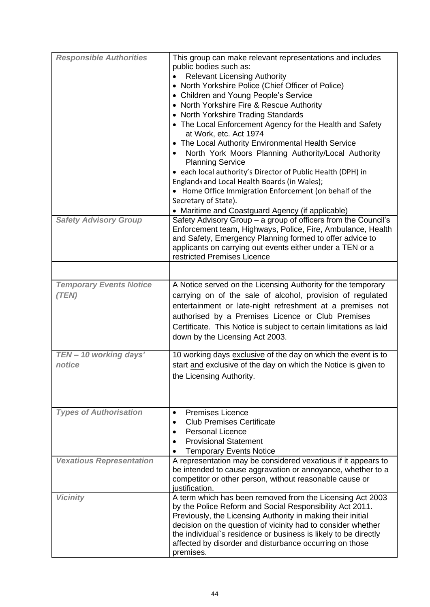| <b>Responsible Authorities</b><br><b>Safety Advisory Group</b> | This group can make relevant representations and includes<br>public bodies such as:<br><b>Relevant Licensing Authority</b><br>• North Yorkshire Police (Chief Officer of Police)<br>• Children and Young People's Service<br>• North Yorkshire Fire & Rescue Authority<br>• North Yorkshire Trading Standards<br>• The Local Enforcement Agency for the Health and Safety<br>at Work, etc. Act 1974<br>• The Local Authority Environmental Health Service<br>North York Moors Planning Authority/Local Authority<br>$\bullet$<br><b>Planning Service</b><br>• each local authority's Director of Public Health (DPH) in<br>England4 and Local Health Boards (in Wales);<br>• Home Office Immigration Enforcement (on behalf of the<br>Secretary of State).<br>• Maritime and Coastguard Agency (if applicable)<br>Safety Advisory Group - a group of officers from the Council's<br>Enforcement team, Highways, Police, Fire, Ambulance, Health<br>and Safety, Emergency Planning formed to offer advice to<br>applicants on carrying out events either under a TEN or a<br>restricted Premises Licence |
|----------------------------------------------------------------|---------------------------------------------------------------------------------------------------------------------------------------------------------------------------------------------------------------------------------------------------------------------------------------------------------------------------------------------------------------------------------------------------------------------------------------------------------------------------------------------------------------------------------------------------------------------------------------------------------------------------------------------------------------------------------------------------------------------------------------------------------------------------------------------------------------------------------------------------------------------------------------------------------------------------------------------------------------------------------------------------------------------------------------------------------------------------------------------------------|
| <b>Temporary Events Notice</b><br>(TEN)                        | A Notice served on the Licensing Authority for the temporary<br>carrying on of the sale of alcohol, provision of regulated<br>entertainment or late-night refreshment at a premises not<br>authorised by a Premises Licence or Club Premises<br>Certificate. This Notice is subject to certain limitations as laid<br>down by the Licensing Act 2003.                                                                                                                                                                                                                                                                                                                                                                                                                                                                                                                                                                                                                                                                                                                                                   |
| TEN - 10 working days'<br>notice                               | 10 working days exclusive of the day on which the event is to<br>start and exclusive of the day on which the Notice is given to<br>the Licensing Authority.                                                                                                                                                                                                                                                                                                                                                                                                                                                                                                                                                                                                                                                                                                                                                                                                                                                                                                                                             |
| <b>Types of Authorisation</b>                                  | Premises Licence<br>$\bullet$<br><b>Club Premises Certificate</b><br>$\bullet$<br><b>Personal Licence</b><br>$\bullet$<br><b>Provisional Statement</b><br>$\bullet$<br><b>Temporary Events Notice</b><br>$\bullet$                                                                                                                                                                                                                                                                                                                                                                                                                                                                                                                                                                                                                                                                                                                                                                                                                                                                                      |
| <b>Vexatious Representation</b>                                | A representation may be considered vexatious if it appears to<br>be intended to cause aggravation or annoyance, whether to a<br>competitor or other person, without reasonable cause or<br>justification.                                                                                                                                                                                                                                                                                                                                                                                                                                                                                                                                                                                                                                                                                                                                                                                                                                                                                               |
| <b>Vicinity</b>                                                | A term which has been removed from the Licensing Act 2003<br>by the Police Reform and Social Responsibility Act 2011.<br>Previously, the Licensing Authority in making their initial<br>decision on the question of vicinity had to consider whether<br>the individual's residence or business is likely to be directly<br>affected by disorder and disturbance occurring on those<br>premises.                                                                                                                                                                                                                                                                                                                                                                                                                                                                                                                                                                                                                                                                                                         |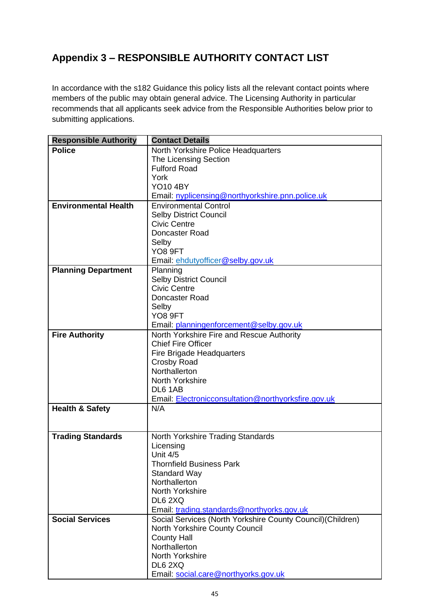# **Appendix 3 – RESPONSIBLE AUTHORITY CONTACT LIST**

In accordance with the s182 Guidance this policy lists all the relevant contact points where members of the public may obtain general advice. The Licensing Authority in particular recommends that all applicants seek advice from the Responsible Authorities below prior to submitting applications.

| <b>Responsible Authority</b> | <b>Contact Details</b>                                      |
|------------------------------|-------------------------------------------------------------|
| <b>Police</b>                | North Yorkshire Police Headquarters                         |
|                              | <b>The Licensing Section</b>                                |
|                              | <b>Fulford Road</b>                                         |
|                              | York                                                        |
|                              | <b>YO10 4BY</b>                                             |
|                              | Email: nyplicensing@northyorkshire.pnn.police.uk            |
| <b>Environmental Health</b>  | <b>Environmental Control</b>                                |
|                              | <b>Selby District Council</b>                               |
|                              | <b>Civic Centre</b>                                         |
|                              | Doncaster Road                                              |
|                              | Selby                                                       |
|                              | YO8 9FT                                                     |
|                              | Email: ehdutyofficer@selby.gov.uk                           |
| <b>Planning Department</b>   | Planning                                                    |
|                              | <b>Selby District Council</b>                               |
|                              | <b>Civic Centre</b>                                         |
|                              | Doncaster Road                                              |
|                              | Selby                                                       |
|                              | YO <sub>8</sub> 9FT                                         |
|                              | Email: planningenforcement@selby.gov.uk                     |
| <b>Fire Authority</b>        | North Yorkshire Fire and Rescue Authority                   |
|                              | <b>Chief Fire Officer</b>                                   |
|                              | Fire Brigade Headquarters                                   |
|                              | <b>Crosby Road</b>                                          |
|                              | Northallerton                                               |
|                              | North Yorkshire                                             |
|                              | DL6 1AB                                                     |
|                              | Email: Electronicconsultation@northyorksfire.gov.uk         |
| <b>Health &amp; Safety</b>   | N/A                                                         |
|                              |                                                             |
|                              |                                                             |
| <b>Trading Standards</b>     | North Yorkshire Trading Standards<br>Licensing              |
|                              | Unit 4/5                                                    |
|                              | <b>Thornfield Business Park</b>                             |
|                              | <b>Standard Way</b>                                         |
|                              | Northallerton                                               |
|                              | North Yorkshire                                             |
|                              | DL6 2XQ                                                     |
|                              | Email: trading.standards@northyorks.gov.uk                  |
| <b>Social Services</b>       | Social Services (North Yorkshire County Council) (Children) |
|                              | North Yorkshire County Council                              |
|                              | <b>County Hall</b>                                          |
|                              | Northallerton                                               |
|                              | North Yorkshire                                             |
|                              | DL6 2XQ                                                     |
|                              | Email: social.care@northyorks.gov.uk                        |